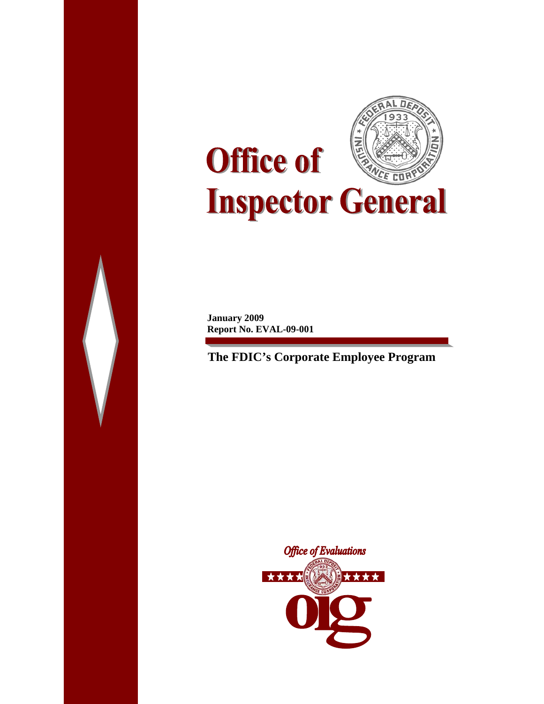

П

**January 2009 Report No. EVAL-09-001** 

**The FDIC's Corporate Employee Program** 

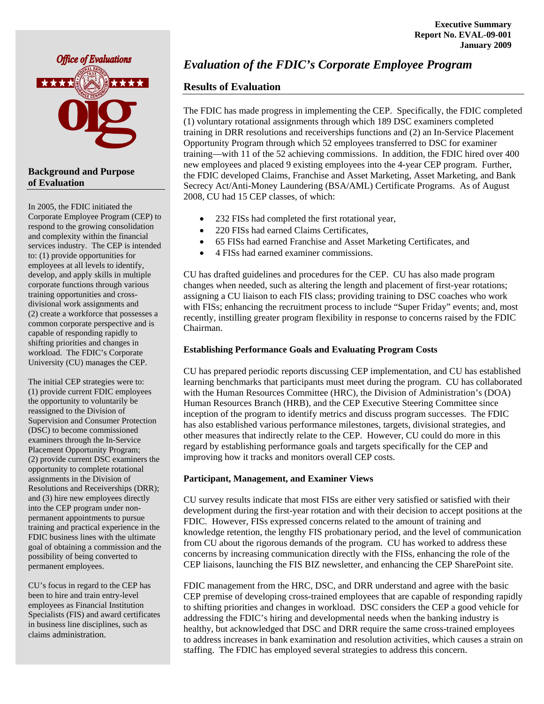

### **Background and Purpose of Evaluation**

In 2005, the FDIC initiated the Corporate Employee Program (CEP) to respond to the growing consolidation and complexity within the financial services industry. The CEP is intended to: (1) provide opportunities for employees at all levels to identify, develop, and apply skills in multiple corporate functions through various training opportunities and crossdivisional work assignments and (2) create a workforce that possesses a common corporate perspective and is capable of responding rapidly to shifting priorities and changes in workload. The FDIC's Corporate University (CU) manages the CEP.

The initial CEP strategies were to: (1) provide current FDIC employees the opportunity to voluntarily be reassigned to the Division of Supervision and Consumer Protection (DSC) to become commissioned examiners through the In-Service Placement Opportunity Program; (2) provide current DSC examiners the opportunity to complete rotational assignments in the Division of Resolutions and Receiverships (DRR); and (3) hire new employees directly into the CEP program under nonpermanent appointments to pursue training and practical experience in the FDIC business lines with the ultimate goal of obtaining a commission and the possibility of being converted to permanent employees.

CU's focus in regard to the CEP has been to hire and train entry-level employees as Financial Institution Specialists (FIS) and award certificates in business line disciplines, such as claims administration.

## *Evaluation of the FDIC's Corporate Employee Program*

### **Results of Evaluation**

The FDIC has made progress in implementing the CEP. Specifically, the FDIC completed (1) voluntary rotational assignments through which 189 DSC examiners completed training in DRR resolutions and receiverships functions and (2) an In-Service Placement Opportunity Program through which 52 employees transferred to DSC for examiner training—with 11 of the 52 achieving commissions. In addition, the FDIC hired over 400 new employees and placed 9 existing employees into the 4-year CEP program. Further, the FDIC developed Claims, Franchise and Asset Marketing, Asset Marketing, and Bank Secrecy Act/Anti-Money Laundering (BSA/AML) Certificate Programs. As of August 2008, CU had 15 CEP classes, of which:

- 232 FISs had completed the first rotational year,
- 220 FISs had earned Claims Certificates,
- 65 FISs had earned Franchise and Asset Marketing Certificates, and
- 4 FISs had earned examiner commissions.

CU has drafted guidelines and procedures for the CEP. CU has also made program changes when needed, such as altering the length and placement of first-year rotations; assigning a CU liaison to each FIS class; providing training to DSC coaches who work with FISs; enhancing the recruitment process to include "Super Friday" events; and, most recently, instilling greater program flexibility in response to concerns raised by the FDIC Chairman.

### **Establishing Performance Goals and Evaluating Program Costs**

CU has prepared periodic reports discussing CEP implementation, and CU has established learning benchmarks that participants must meet during the program. CU has collaborated with the Human Resources Committee (HRC), the Division of Administration's (DOA) Human Resources Branch (HRB), and the CEP Executive Steering Committee since inception of the program to identify metrics and discuss program successes. The FDIC has also established various performance milestones, targets, divisional strategies, and other measures that indirectly relate to the CEP. However, CU could do more in this regard by establishing performance goals and targets specifically for the CEP and improving how it tracks and monitors overall CEP costs.

### **Participant, Management, and Examiner Views**

CU survey results indicate that most FISs are either very satisfied or satisfied with their development during the first-year rotation and with their decision to accept positions at the FDIC. However, FISs expressed concerns related to the amount of training and knowledge retention, the lengthy FIS probationary period, and the level of communication from CU about the rigorous demands of the program. CU has worked to address these concerns by increasing communication directly with the FISs, enhancing the role of the CEP liaisons, launching the FIS BIZ newsletter, and enhancing the CEP SharePoint site.

FDIC management from the HRC, DSC, and DRR understand and agree with the basic CEP premise of developing cross-trained employees that are capable of responding rapidly to shifting priorities and changes in workload. DSC considers the CEP a good vehicle for addressing the FDIC's hiring and developmental needs when the banking industry is healthy, but acknowledged that DSC and DRR require the same cross-trained employees to address increases in bank examination and resolution activities, which causes a strain on staffing. The FDIC has employed several strategies to address this concern.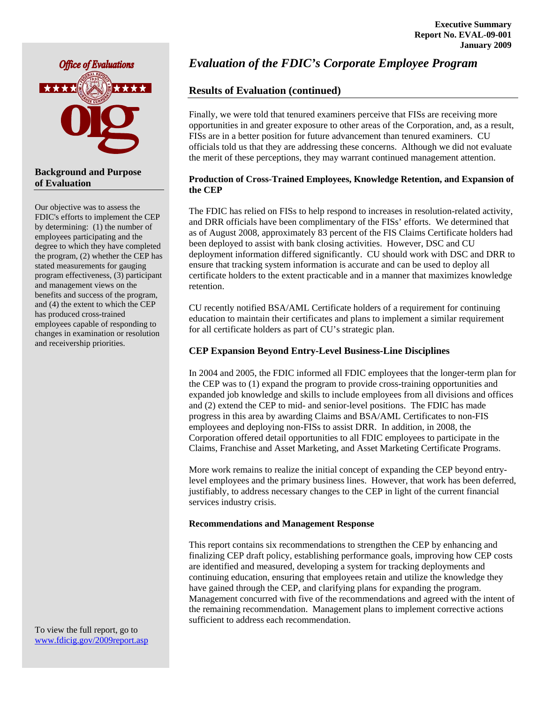

### **Background and Purpose of Evaluation**

Our objective was to assess the FDIC's efforts to implement the CEP by determining: (1) the number of employees participating and the degree to which they have completed the program, (2) whether the CEP has stated measurements for gauging program effectiveness, (3) participant and management views on the benefits and success of the program, and (4) the extent to which the CEP has produced cross-trained employees capable of responding to changes in examination or resolution and receivership priorities.

To view the full report, go to [www.fdicig.gov/2009report.asp](http://www.fdicig.gov/2009report.asp) 

## *Evaluation of the FDIC's Corporate Employee Program*

## **Results of Evaluation (continued)**

Finally, we were told that tenured examiners perceive that FISs are receiving more opportunities in and greater exposure to other areas of the Corporation, and, as a result, FISs are in a better position for future advancement than tenured examiners. CU officials told us that they are addressing these concerns. Although we did not evaluate the merit of these perceptions, they may warrant continued management attention.

### **Production of Cross-Trained Employees, Knowledge Retention, and Expansion of the CEP**

The FDIC has relied on FISs to help respond to increases in resolution-related activity, and DRR officials have been complimentary of the FISs' efforts. We determined that as of August 2008, approximately 83 percent of the FIS Claims Certificate holders had been deployed to assist with bank closing activities. However, DSC and CU deployment information differed significantly. CU should work with DSC and DRR to ensure that tracking system information is accurate and can be used to deploy all certificate holders to the extent practicable and in a manner that maximizes knowledge retention.

CU recently notified BSA/AML Certificate holders of a requirement for continuing education to maintain their certificates and plans to implement a similar requirement for all certificate holders as part of CU's strategic plan.

### **CEP Expansion Beyond Entry-Level Business-Line Disciplines**

In 2004 and 2005, the FDIC informed all FDIC employees that the longer-term plan for the CEP was to (1) expand the program to provide cross-training opportunities and expanded job knowledge and skills to include employees from all divisions and offices and (2) extend the CEP to mid- and senior-level positions. The FDIC has made progress in this area by awarding Claims and BSA/AML Certificates to non-FIS employees and deploying non-FISs to assist DRR. In addition, in 2008, the Corporation offered detail opportunities to all FDIC employees to participate in the Claims, Franchise and Asset Marketing, and Asset Marketing Certificate Programs.

More work remains to realize the initial concept of expanding the CEP beyond entrylevel employees and the primary business lines. However, that work has been deferred, justifiably, to address necessary changes to the CEP in light of the current financial services industry crisis.

### **Recommendations and Management Response**

This report contains six recommendations to strengthen the CEP by enhancing and finalizing CEP draft policy, establishing performance goals, improving how CEP costs are identified and measured, developing a system for tracking deployments and continuing education, ensuring that employees retain and utilize the knowledge they have gained through the CEP, and clarifying plans for expanding the program. Management concurred with five of the recommendations and agreed with the intent of the remaining recommendation. Management plans to implement corrective actions sufficient to address each recommendation.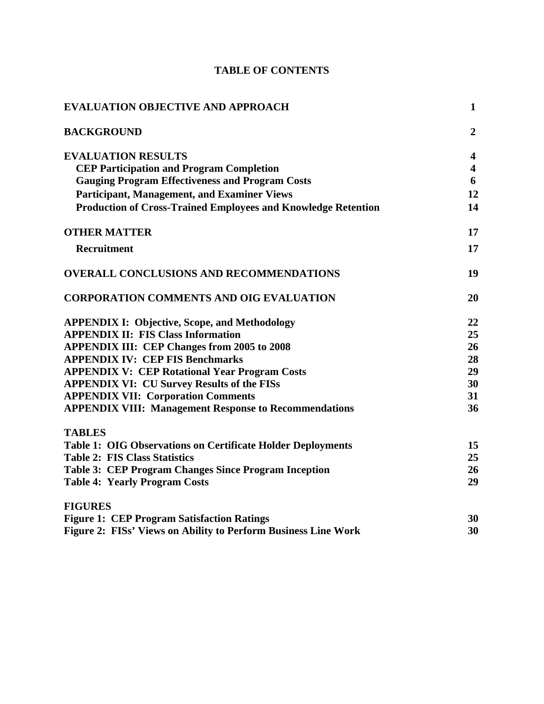| <b>EVALUATION OBJECTIVE AND APPROACH</b>                             | $\mathbf{1}$   |
|----------------------------------------------------------------------|----------------|
| <b>BACKGROUND</b>                                                    | $\overline{2}$ |
| <b>EVALUATION RESULTS</b>                                            | 4              |
| <b>CEP Participation and Program Completion</b>                      | 4              |
| <b>Gauging Program Effectiveness and Program Costs</b>               | 6              |
| <b>Participant, Management, and Examiner Views</b>                   | 12             |
| <b>Production of Cross-Trained Employees and Knowledge Retention</b> | 14             |
| <b>OTHER MATTER</b>                                                  | 17             |
| Recruitment                                                          | 17             |
| <b>OVERALL CONCLUSIONS AND RECOMMENDATIONS</b>                       | 19             |
| <b>CORPORATION COMMENTS AND OIG EVALUATION</b>                       | 20             |
| <b>APPENDIX I: Objective, Scope, and Methodology</b>                 | 22             |
| <b>APPENDIX II: FIS Class Information</b>                            | 25             |
| <b>APPENDIX III: CEP Changes from 2005 to 2008</b>                   | 26             |
| <b>APPENDIX IV: CEP FIS Benchmarks</b>                               | 28             |
| <b>APPENDIX V: CEP Rotational Year Program Costs</b>                 | 29             |
| <b>APPENDIX VI: CU Survey Results of the FISs</b>                    | 30             |
| <b>APPENDIX VII: Corporation Comments</b>                            | 31             |
| <b>APPENDIX VIII: Management Response to Recommendations</b>         | 36             |
| <b>TABLES</b>                                                        |                |
| <b>Table 1: OIG Observations on Certificate Holder Deployments</b>   | 15             |
| <b>Table 2: FIS Class Statistics</b>                                 | 25             |
| Table 3: CEP Program Changes Since Program Inception                 | 26             |
| <b>Table 4: Yearly Program Costs</b>                                 | 29             |
| <b>FIGURES</b>                                                       |                |
| <b>Figure 1: CEP Program Satisfaction Ratings</b>                    | 30             |
| Figure 2: FISs' Views on Ability to Perform Business Line Work       | 30             |

# **TABLE OF CONTENTS**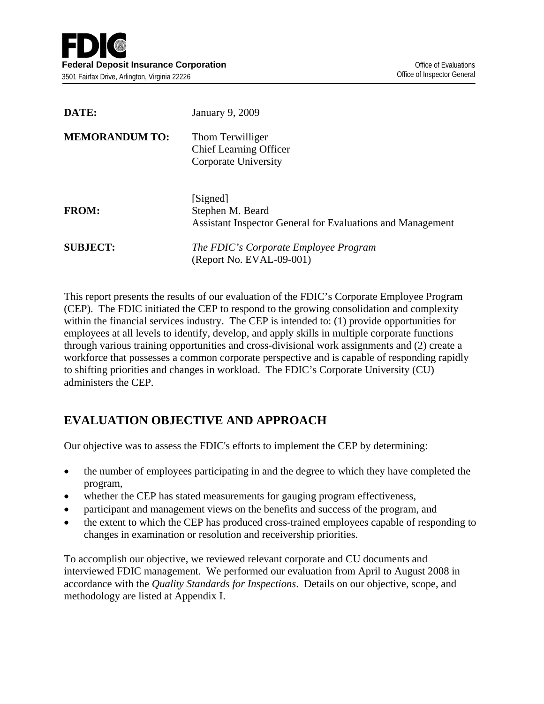| DATE:                 | January 9, 2009                                                                            |
|-----------------------|--------------------------------------------------------------------------------------------|
| <b>MEMORANDUM TO:</b> | Thom Terwilliger<br><b>Chief Learning Officer</b><br>Corporate University                  |
| <b>FROM:</b>          | [Signed]<br>Stephen M. Beard<br>Assistant Inspector General for Evaluations and Management |
| <b>SUBJECT:</b>       | The FDIC's Corporate Employee Program<br>(Report No. EVAL-09-001)                          |

This report presents the results of our evaluation of the FDIC's Corporate Employee Program (CEP). The FDIC initiated the CEP to respond to the growing consolidation and complexity within the financial services industry. The CEP is intended to: (1) provide opportunities for employees at all levels to identify, develop, and apply skills in multiple corporate functions through various training opportunities and cross-divisional work assignments and (2) create a workforce that possesses a common corporate perspective and is capable of responding rapidly to shifting priorities and changes in workload. The FDIC's Corporate University (CU) administers the CEP.

# **EVALUATION OBJECTIVE AND APPROACH**

Our objective was to assess the FDIC's efforts to implement the CEP by determining:

- the number of employees participating in and the degree to which they have completed the program,
- whether the CEP has stated measurements for gauging program effectiveness,
- participant and management views on the benefits and success of the program, and
- the extent to which the CEP has produced cross-trained employees capable of responding to changes in examination or resolution and receivership priorities.

To accomplish our objective, we reviewed relevant corporate and CU documents and interviewed FDIC management. We performed our evaluation from April to August 2008 in accordance with the *Quality Standards for Inspections*. Details on our objective, scope, and methodology are listed at Appendix I.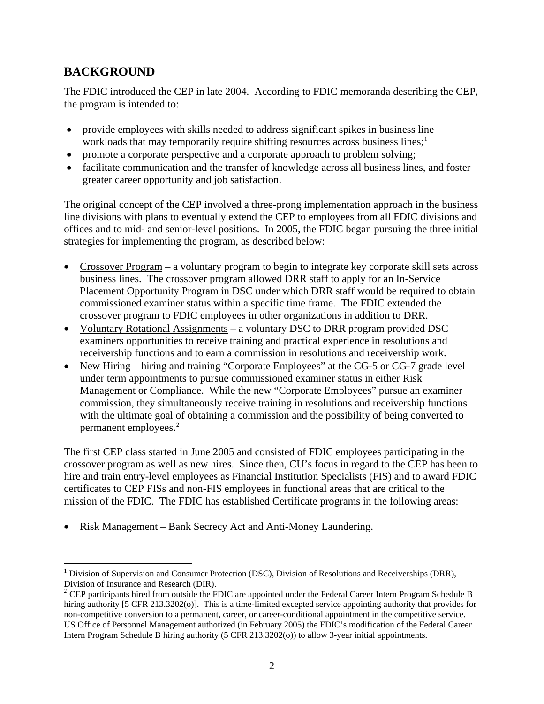# **BACKGROUND**

The FDIC introduced the CEP in late 2004. According to FDIC memoranda describing the CEP, the program is intended to:

- provide employees with skills needed to address significant spikes in business line workloads that may temporarily require shifting resources across business lines;<sup>[1](#page-5-0)</sup>
- promote a corporate perspective and a corporate approach to problem solving;
- facilitate communication and the transfer of knowledge across all business lines, and foster greater career opportunity and job satisfaction.

The original concept of the CEP involved a three-prong implementation approach in the business line divisions with plans to eventually extend the CEP to employees from all FDIC divisions and offices and to mid- and senior-level positions. In 2005, the FDIC began pursuing the three initial strategies for implementing the program, as described below:

- Crossover Program a voluntary program to begin to integrate key corporate skill sets across business lines. The crossover program allowed DRR staff to apply for an In-Service Placement Opportunity Program in DSC under which DRR staff would be required to obtain commissioned examiner status within a specific time frame. The FDIC extended the crossover program to FDIC employees in other organizations in addition to DRR.
- Voluntary Rotational Assignments a voluntary DSC to DRR program provided DSC examiners opportunities to receive training and practical experience in resolutions and receivership functions and to earn a commission in resolutions and receivership work.
- New Hiring hiring and training "Corporate Employees" at the CG-5 or CG-7 grade level under term appointments to pursue commissioned examiner status in either Risk Management or Compliance. While the new "Corporate Employees" pursue an examiner commission, they simultaneously receive training in resolutions and receivership functions with the ultimate goal of obtaining a commission and the possibility of being converted to permanent employees.<sup>2</sup>

The first CEP class started in June 2005 and consisted of FDIC employees participating in the crossover program as well as new hires. Since then, CU's focus in regard to the CEP has been to hire and train entry-level employees as Financial Institution Specialists (FIS) and to award FDIC certificates to CEP FISs and non-FIS employees in functional areas that are critical to the mission of the FDIC. The FDIC has established Certificate programs in the following areas:

• Risk Management – Bank Secrecy Act and Anti-Money Laundering.

<span id="page-5-0"></span> $\overline{a}$ <sup>1</sup> Division of Supervision and Consumer Protection (DSC), Division of Resolutions and Receiverships (DRR), Division of Insurance and Research (DIR).

<span id="page-5-1"></span><sup>&</sup>lt;sup>2</sup> CEP participants hired from outside the FDIC are appointed under the Federal Career Intern Program Schedule B hiring authority [5 CFR 213.3202(o)]. This is a time-limited excepted service appointing authority that provides for non-competitive conversion to a permanent, career, or career-conditional appointment in the competitive service. US Office of Personnel Management authorized (in February 2005) the FDIC's modification of the Federal Career Intern Program Schedule B hiring authority (5 CFR 213.3202(o)) to allow 3-year initial appointments.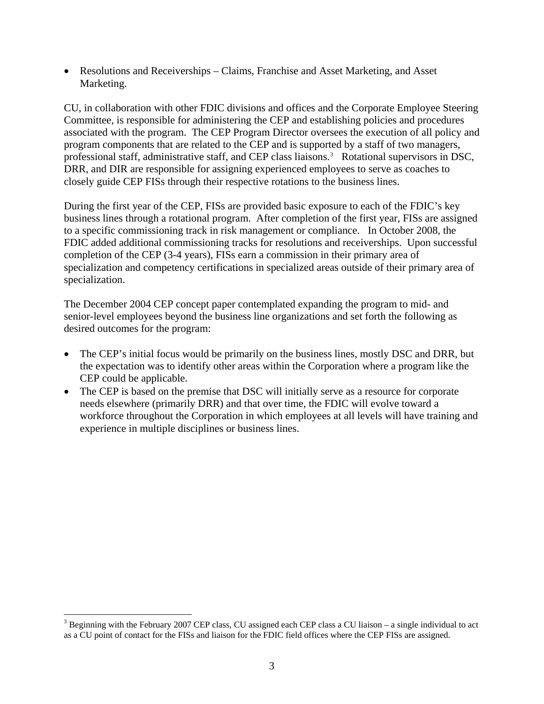• Resolutions and Receiverships – Claims, Franchise and Asset Marketing, and Asset Marketing.

CU, in collaboration with other FDIC divisions and offices and the Corporate Employee Steering Committee, is responsible for administering the CEP and establishing policies and procedures associated with the program. The CEP Program Director oversees the execution of all policy and program components that are related to the CEP and is supported by a staff of two managers, professional staff, administrative staff, and CEP class liaisons.<sup>[3](#page-6-0)</sup> Rotational supervisors in DSC, DRR, and DIR are responsible for assigning experienced employees to serve as coaches to closely guide CEP FISs through their respective rotations to the business lines.

During the first year of the CEP, FISs are provided basic exposure to each of the FDIC's key business lines through a rotational program. After completion of the first year, FISs are assigned to a specific commissioning track in risk management or compliance. In October 2008, the FDIC added additional commissioning tracks for resolutions and receiverships. Upon successful completion of the CEP (3-4 years), FISs earn a commission in their primary area of specialization and competency certifications in specialized areas outside of their primary area of specialization.

The December 2004 CEP concept paper contemplated expanding the program to mid- and senior-level employees beyond the business line organizations and set forth the following as desired outcomes for the program:

- The CEP's initial focus would be primarily on the business lines, mostly DSC and DRR, but the expectation was to identify other areas within the Corporation where a program like the CEP could be applicable.
- The CEP is based on the premise that DSC will initially serve as a resource for corporate needs elsewhere (primarily DRR) and that over time, the FDIC will evolve toward a workforce throughout the Corporation in which employees at all levels will have training and experience in multiple disciplines or business lines.

 $\overline{a}$ 

<span id="page-6-0"></span> $3$  Beginning with the February 2007 CEP class, CU assigned each CEP class a CU liaison – a single individual to act as a CU point of contact for the FISs and liaison for the FDIC field offices where the CEP FISs are assigned.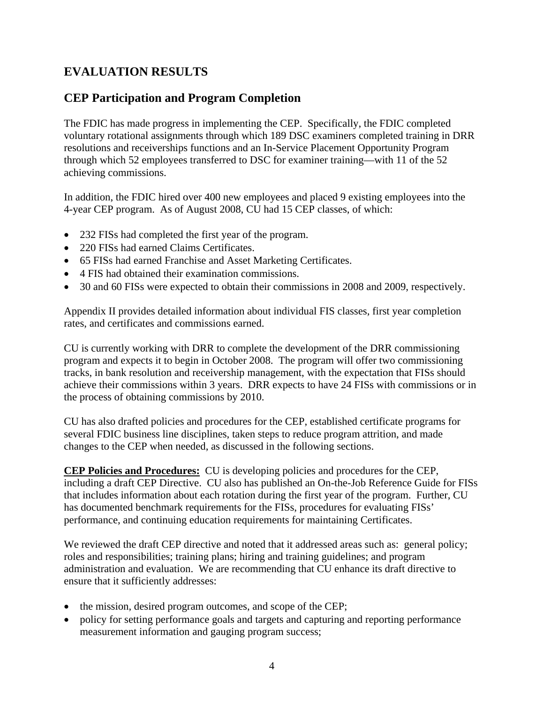# **EVALUATION RESULTS**

## **CEP Participation and Program Completion**

The FDIC has made progress in implementing the CEP. Specifically, the FDIC completed voluntary rotational assignments through which 189 DSC examiners completed training in DRR resolutions and receiverships functions and an In-Service Placement Opportunity Program through which 52 employees transferred to DSC for examiner training—with 11 of the 52 achieving commissions.

In addition, the FDIC hired over 400 new employees and placed 9 existing employees into the 4-year CEP program. As of August 2008, CU had 15 CEP classes, of which:

- 232 FISs had completed the first year of the program.
- 220 FISs had earned Claims Certificates.
- 65 FISs had earned Franchise and Asset Marketing Certificates.
- 4 FIS had obtained their examination commissions.
- 30 and 60 FISs were expected to obtain their commissions in 2008 and 2009, respectively.

Appendix II provides detailed information about individual FIS classes, first year completion rates, and certificates and commissions earned.

CU is currently working with DRR to complete the development of the DRR commissioning program and expects it to begin in October 2008. The program will offer two commissioning tracks, in bank resolution and receivership management, with the expectation that FISs should achieve their commissions within 3 years. DRR expects to have 24 FISs with commissions or in the process of obtaining commissions by 2010.

CU has also drafted policies and procedures for the CEP, established certificate programs for several FDIC business line disciplines, taken steps to reduce program attrition, and made changes to the CEP when needed, as discussed in the following sections.

**CEP Policies and Procedures:** CU is developing policies and procedures for the CEP, including a draft CEP Directive. CU also has published an On-the-Job Reference Guide for FISs that includes information about each rotation during the first year of the program. Further, CU has documented benchmark requirements for the FISs, procedures for evaluating FISs' performance, and continuing education requirements for maintaining Certificates.

We reviewed the draft CEP directive and noted that it addressed areas such as: general policy; roles and responsibilities; training plans; hiring and training guidelines; and program administration and evaluation. We are recommending that CU enhance its draft directive to ensure that it sufficiently addresses:

- the mission, desired program outcomes, and scope of the CEP;
- policy for setting performance goals and targets and capturing and reporting performance measurement information and gauging program success;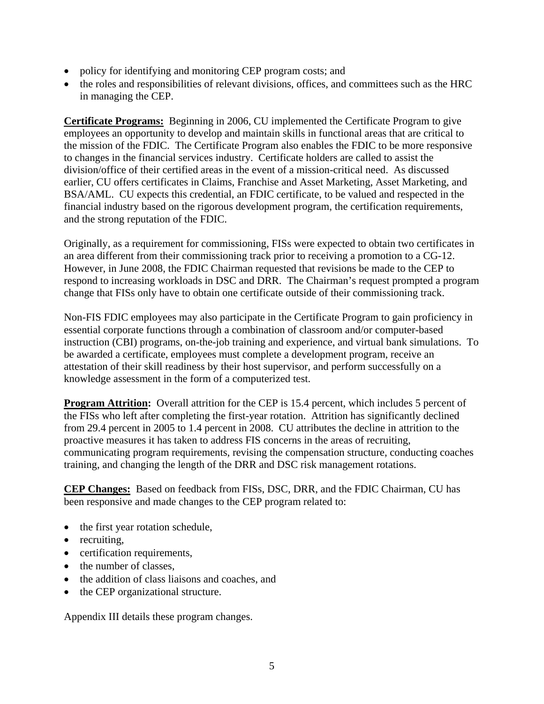- policy for identifying and monitoring CEP program costs; and
- the roles and responsibilities of relevant divisions, offices, and committees such as the HRC in managing the CEP.

**Certificate Programs:** Beginning in 2006, CU implemented the Certificate Program to give employees an opportunity to develop and maintain skills in functional areas that are critical to the mission of the FDIC. The Certificate Program also enables the FDIC to be more responsive to changes in the financial services industry. Certificate holders are called to assist the division/office of their certified areas in the event of a mission-critical need. As discussed earlier, CU offers certificates in Claims, Franchise and Asset Marketing, Asset Marketing, and BSA/AML. CU expects this credential, an FDIC certificate, to be valued and respected in the financial industry based on the rigorous development program, the certification requirements, and the strong reputation of the FDIC.

Originally, as a requirement for commissioning, FISs were expected to obtain two certificates in an area different from their commissioning track prior to receiving a promotion to a CG-12. However, in June 2008, the FDIC Chairman requested that revisions be made to the CEP to respond to increasing workloads in DSC and DRR. The Chairman's request prompted a program change that FISs only have to obtain one certificate outside of their commissioning track.

Non-FIS FDIC employees may also participate in the Certificate Program to gain proficiency in essential corporate functions through a combination of classroom and/or computer-based instruction (CBI) programs, on-the-job training and experience, and virtual bank simulations. To be awarded a certificate, employees must complete a development program, receive an attestation of their skill readiness by their host supervisor, and perform successfully on a knowledge assessment in the form of a computerized test.

**Program Attrition:** Overall attrition for the CEP is 15.4 percent, which includes 5 percent of the FISs who left after completing the first-year rotation. Attrition has significantly declined from 29.4 percent in 2005 to 1.4 percent in 2008. CU attributes the decline in attrition to the proactive measures it has taken to address FIS concerns in the areas of recruiting, communicating program requirements, revising the compensation structure, conducting coaches training, and changing the length of the DRR and DSC risk management rotations.

**CEP Changes:** Based on feedback from FISs, DSC, DRR, and the FDIC Chairman, CU has been responsive and made changes to the CEP program related to:

- the first year rotation schedule,
- recruiting,
- certification requirements,
- the number of classes.
- the addition of class liaisons and coaches, and
- the CEP organizational structure.

Appendix III details these program changes.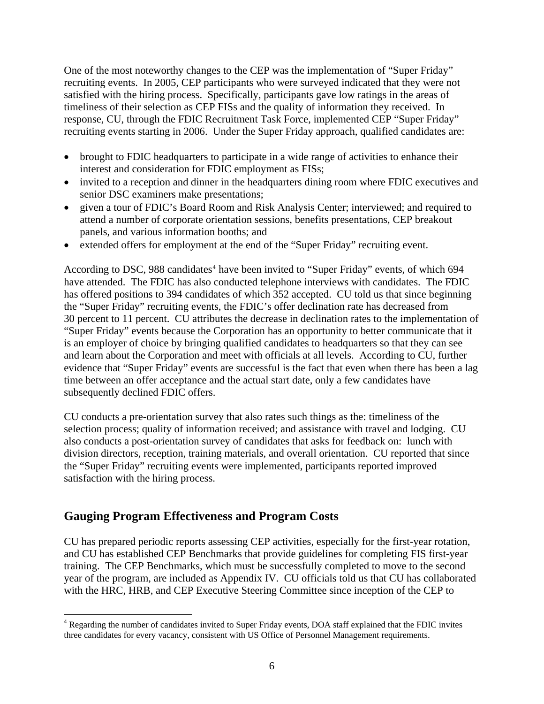One of the most noteworthy changes to the CEP was the implementation of "Super Friday" recruiting events. In 2005, CEP participants who were surveyed indicated that they were not satisfied with the hiring process. Specifically, participants gave low ratings in the areas of timeliness of their selection as CEP FISs and the quality of information they received. In response, CU, through the FDIC Recruitment Task Force, implemented CEP "Super Friday" recruiting events starting in 2006. Under the Super Friday approach, qualified candidates are:

- brought to FDIC headquarters to participate in a wide range of activities to enhance their interest and consideration for FDIC employment as FISs;
- invited to a reception and dinner in the headquarters dining room where FDIC executives and senior DSC examiners make presentations;
- given a tour of FDIC's Board Room and Risk Analysis Center; interviewed; and required to attend a number of corporate orientation sessions, benefits presentations, CEP breakout panels, and various information booths; and
- extended offers for employment at the end of the "Super Friday" recruiting event.

According to DSC, 988 candidates<sup>[4](#page-9-0)</sup> have been invited to "Super Friday" events, of which 694 have attended. The FDIC has also conducted telephone interviews with candidates. The FDIC has offered positions to 394 candidates of which 352 accepted. CU told us that since beginning the "Super Friday" recruiting events, the FDIC's offer declination rate has decreased from 30 percent to 11 percent. CU attributes the decrease in declination rates to the implementation of "Super Friday" events because the Corporation has an opportunity to better communicate that it is an employer of choice by bringing qualified candidates to headquarters so that they can see and learn about the Corporation and meet with officials at all levels. According to CU, further evidence that "Super Friday" events are successful is the fact that even when there has been a lag time between an offer acceptance and the actual start date, only a few candidates have subsequently declined FDIC offers.

CU conducts a pre-orientation survey that also rates such things as the: timeliness of the selection process; quality of information received; and assistance with travel and lodging. CU also conducts a post-orientation survey of candidates that asks for feedback on: lunch with division directors, reception, training materials, and overall orientation. CU reported that since the "Super Friday" recruiting events were implemented, participants reported improved satisfaction with the hiring process.

## **Gauging Program Effectiveness and Program Costs**

 $\overline{a}$ 

CU has prepared periodic reports assessing CEP activities, especially for the first-year rotation, and CU has established CEP Benchmarks that provide guidelines for completing FIS first-year training. The CEP Benchmarks, which must be successfully completed to move to the second year of the program, are included as Appendix IV. CU officials told us that CU has collaborated with the HRC, HRB, and CEP Executive Steering Committee since inception of the CEP to

<span id="page-9-0"></span><sup>&</sup>lt;sup>4</sup> Regarding the number of candidates invited to Super Friday events, DOA staff explained that the FDIC invites three candidates for every vacancy, consistent with US Office of Personnel Management requirements.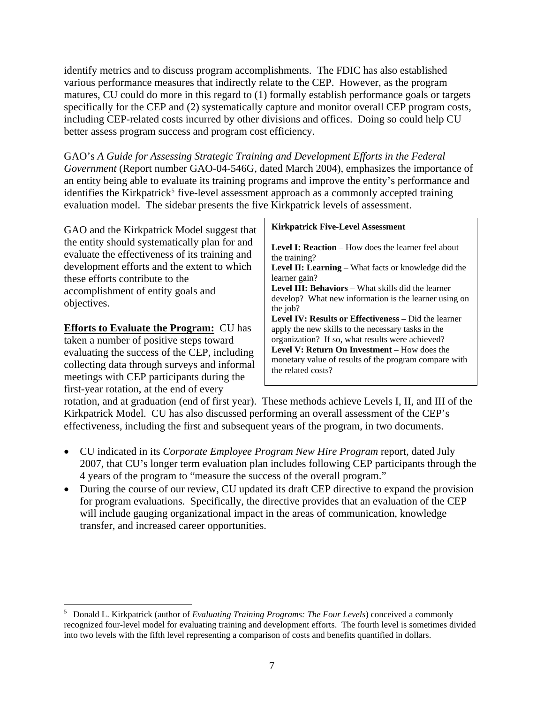identify metrics and to discuss program accomplishments. The FDIC has also established various performance measures that indirectly relate to the CEP. However, as the program matures, CU could do more in this regard to (1) formally establish performance goals or targets specifically for the CEP and (2) systematically capture and monitor overall CEP program costs, including CEP-related costs incurred by other divisions and offices. Doing so could help CU better assess program success and program cost efficiency.

GAO's *A Guide for Assessing Strategic Training and Development Efforts in the Federal Government* (Report number GAO-04-546G, dated March 2004), emphasizes the importance of an entity being able to evaluate its training programs and improve the entity's performance and identifies the Kirkpatrick<sup>[5](#page-10-0)</sup> five-level assessment approach as a commonly accepted training evaluation model. The sidebar presents the five Kirkpatrick levels of assessment.

GAO and the Kirkpatrick Model suggest that the entity should systematically plan for and evaluate the effectiveness of its training and development efforts and the extent to which these efforts contribute to the accomplishment of entity goals and objectives.

**Efforts to Evaluate the Program:** CU has taken a number of positive steps toward evaluating the success of the CEP, including collecting data through surveys and informal meetings with CEP participants during the first-year rotation, at the end of every

 $\overline{a}$ 

### **Kirkpatrick Five-Level Assessment**

**Level I: Reaction** – How does the learner feel about the training?

**Level II: Learning** – What facts or knowledge did the learner gain?

Level III: Behaviors – What skills did the learner develop? What new information is the learner using on the job?

**Level IV: Results or Effectiveness** – Did the learner apply the new skills to the necessary tasks in the organization? If so, what results were achieved? Level V: Return On Investment – How does the monetary value of results of the program compare with the related costs?

rotation, and at graduation (end of first year). These methods achieve Levels I, II, and III of the Kirkpatrick Model. CU has also discussed performing an overall assessment of the CEP's effectiveness, including the first and subsequent years of the program, in two documents.

- CU indicated in its *Corporate Employee Program New Hire Program* report, dated July 2007, that CU's longer term evaluation plan includes following CEP participants through the 4 years of the program to "measure the success of the overall program."
- During the course of our review, CU updated its draft CEP directive to expand the provision for program evaluations. Specifically, the directive provides that an evaluation of the CEP will include gauging organizational impact in the areas of communication, knowledge transfer, and increased career opportunities.

<span id="page-10-0"></span><sup>5</sup> Donald L. Kirkpatrick (author of *Evaluating Training Programs: The Four Levels*) conceived a commonly recognized four-level model for evaluating training and development efforts. The fourth level is sometimes divided into two levels with the fifth level representing a comparison of costs and benefits quantified in dollars.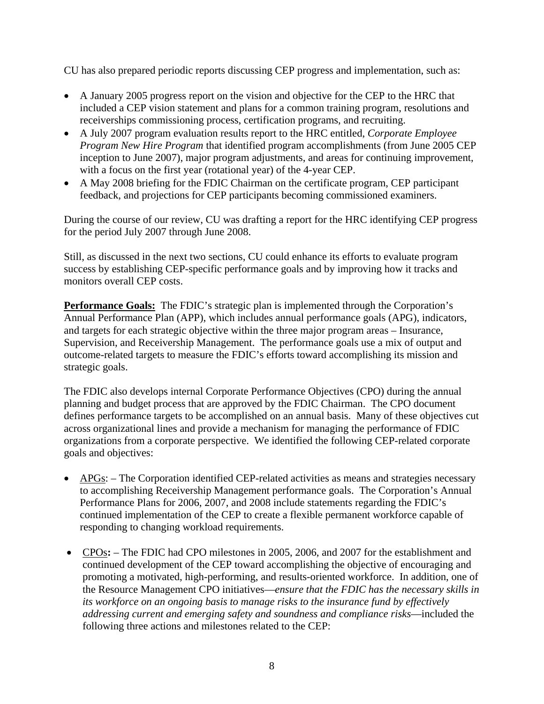CU has also prepared periodic reports discussing CEP progress and implementation, such as:

- A January 2005 progress report on the vision and objective for the CEP to the HRC that included a CEP vision statement and plans for a common training program, resolutions and receiverships commissioning process, certification programs, and recruiting.
- A July 2007 program evaluation results report to the HRC entitled, *Corporate Employee Program New Hire Program* that identified program accomplishments (from June 2005 CEP inception to June 2007), major program adjustments, and areas for continuing improvement, with a focus on the first year (rotational year) of the 4-year CEP.
- A May 2008 briefing for the FDIC Chairman on the certificate program, CEP participant feedback, and projections for CEP participants becoming commissioned examiners.

During the course of our review, CU was drafting a report for the HRC identifying CEP progress for the period July 2007 through June 2008.

Still, as discussed in the next two sections, CU could enhance its efforts to evaluate program success by establishing CEP-specific performance goals and by improving how it tracks and monitors overall CEP costs.

**Performance Goals:** The FDIC's strategic plan is implemented through the Corporation's Annual Performance Plan (APP), which includes annual performance goals (APG), indicators, and targets for each strategic objective within the three major program areas – Insurance, Supervision, and Receivership Management. The performance goals use a mix of output and outcome-related targets to measure the FDIC's efforts toward accomplishing its mission and strategic goals.

The FDIC also develops internal Corporate Performance Objectives (CPO) during the annual planning and budget process that are approved by the FDIC Chairman. The CPO document defines performance targets to be accomplished on an annual basis. Many of these objectives cut across organizational lines and provide a mechanism for managing the performance of FDIC organizations from a corporate perspective. We identified the following CEP-related corporate goals and objectives:

- APGs: The Corporation identified CEP-related activities as means and strategies necessary to accomplishing Receivership Management performance goals. The Corporation's Annual Performance Plans for 2006, 2007, and 2008 include statements regarding the FDIC's continued implementation of the CEP to create a flexible permanent workforce capable of responding to changing workload requirements.
- CPOs**:**  The FDIC had CPO milestones in 2005, 2006, and 2007 for the establishment and continued development of the CEP toward accomplishing the objective of encouraging and promoting a motivated, high-performing, and results-oriented workforce. In addition, one of the Resource Management CPO initiatives—*ensure that the FDIC has the necessary skills in its workforce on an ongoing basis to manage risks to the insurance fund by effectively addressing current and emerging safety and soundness and compliance risks*—included the following three actions and milestones related to the CEP: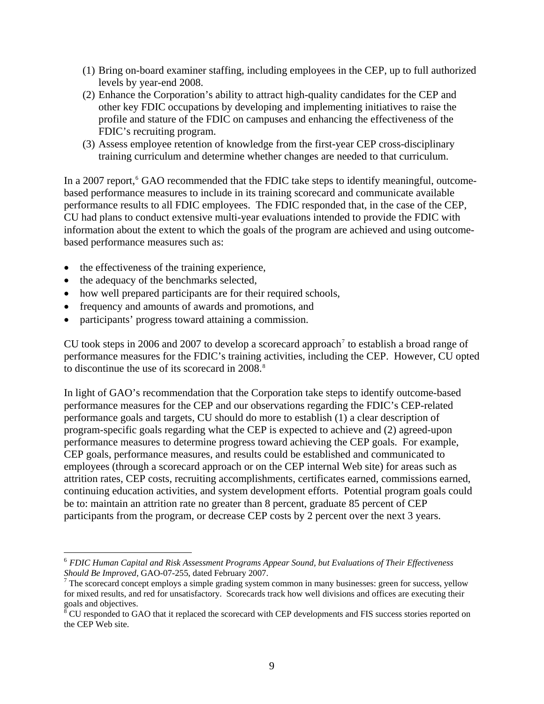- <span id="page-12-0"></span>(1) Bring on-board examiner staffing, including employees in the CEP, up to full authorized levels by year-end 2008.
- (2) Enhance the Corporation's ability to attract high-quality candidates for the CEP and other key FDIC occupations by developing and implementing initiatives to raise the profile and stature of the FDIC on campuses and enhancing the effectiveness of the FDIC's recruiting program.
- (3) Assess employee retention of knowledge from the first-year CEP cross-disciplinary training curriculum and determine whether changes are needed to that curriculum.

In a 2007 report,<sup>[6](#page-12-0)</sup> GAO recommended that the FDIC take steps to identify meaningful, outcomebased performance measures to include in its training scorecard and communicate available performance results to all FDIC employees. The FDIC responded that, in the case of the CEP, CU had plans to conduct extensive multi-year evaluations intended to provide the FDIC with information about the extent to which the goals of the program are achieved and using outcomebased performance measures such as:

- the effectiveness of the training experience,
- the adequacy of the benchmarks selected,
- how well prepared participants are for their required schools,
- frequency and amounts of awards and promotions, and
- participants' progress toward attaining a commission.

CU took steps in 2006 and 200[7](#page-12-0) to develop a scorecard approach<sup>7</sup> to establish a broad range of performance measures for the FDIC's training activities, including the CEP. However, CU opted to discontinue the use of its scorecard in 200[8](#page-12-0).<sup>8</sup>

In light of GAO's recommendation that the Corporation take steps to identify outcome-based performance measures for the CEP and our observations regarding the FDIC's CEP-related performance goals and targets, CU should do more to establish (1) a clear description of program-specific goals regarding what the CEP is expected to achieve and (2) agreed-upon performance measures to determine progress toward achieving the CEP goals. For example, CEP goals, performance measures, and results could be established and communicated to employees (through a scorecard approach or on the CEP internal Web site) for areas such as attrition rates, CEP costs, recruiting accomplishments, certificates earned, commissions earned, continuing education activities, and system development efforts. Potential program goals could be to: maintain an attrition rate no greater than 8 percent, graduate 85 percent of CEP participants from the program, or decrease CEP costs by 2 percent over the next 3 years.

 $\overline{a}$ <sup>6</sup> *FDIC Human Capital and Risk Assessment Programs Appear Sound, but Evaluations of Their Effectiveness Should Be Improved*, GAO-07-255, dated February 2007.

 $\sigma$  The scorecard concept employs a simple grading system common in many businesses: green for success, yellow for mixed results, and red for unsatisfactory. Scorecards track how well divisions and offices are executing their goals and objectives.

 $8\text{ }$  CU responded to GAO that it replaced the scorecard with CEP developments and FIS success stories reported on the CEP Web site.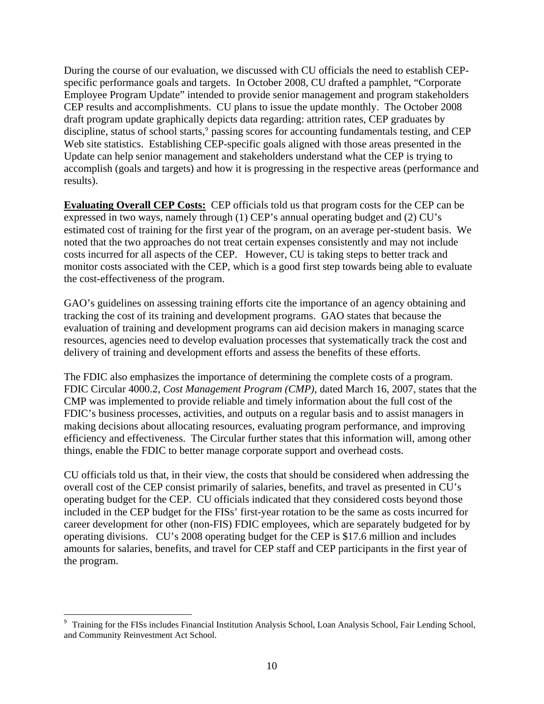<span id="page-13-0"></span>During the course of our evaluation, we discussed with CU officials the need to establish CEPspecific performance goals and targets. In October 2008, CU drafted a pamphlet, "Corporate Employee Program Update" intended to provide senior management and program stakeholders CEP results and accomplishments. CU plans to issue the update monthly. The October 2008 draft program update graphically depicts data regarding: attrition rates, CEP graduates by discipline, status of school starts,<sup>[9](#page-13-0)</sup> passing scores for accounting fundamentals testing, and CEP Web site statistics. Establishing CEP-specific goals aligned with those areas presented in the Update can help senior management and stakeholders understand what the CEP is trying to accomplish (goals and targets) and how it is progressing in the respective areas (performance and results).

**Evaluating Overall CEP Costs:** CEP officials told us that program costs for the CEP can be expressed in two ways, namely through (1) CEP's annual operating budget and (2) CU's estimated cost of training for the first year of the program, on an average per-student basis. We noted that the two approaches do not treat certain expenses consistently and may not include costs incurred for all aspects of the CEP. However, CU is taking steps to better track and monitor costs associated with the CEP, which is a good first step towards being able to evaluate the cost-effectiveness of the program.

GAO's guidelines on assessing training efforts cite the importance of an agency obtaining and tracking the cost of its training and development programs. GAO states that because the evaluation of training and development programs can aid decision makers in managing scarce resources, agencies need to develop evaluation processes that systematically track the cost and delivery of training and development efforts and assess the benefits of these efforts.

The FDIC also emphasizes the importance of determining the complete costs of a program. FDIC Circular 4000.2, *Cost Management Program (CMP)*, dated March 16, 2007, states that the CMP was implemented to provide reliable and timely information about the full cost of the FDIC's business processes, activities, and outputs on a regular basis and to assist managers in making decisions about allocating resources, evaluating program performance, and improving efficiency and effectiveness. The Circular further states that this information will, among other things, enable the FDIC to better manage corporate support and overhead costs.

CU officials told us that, in their view, the costs that should be considered when addressing the overall cost of the CEP consist primarily of salaries, benefits, and travel as presented in CU's operating budget for the CEP. CU officials indicated that they considered costs beyond those included in the CEP budget for the FISs' first-year rotation to be the same as costs incurred for career development for other (non-FIS) FDIC employees, which are separately budgeted for by operating divisions. CU's 2008 operating budget for the CEP is \$17.6 million and includes amounts for salaries, benefits, and travel for CEP staff and CEP participants in the first year of the program.

 $\overline{a}$ 

<sup>&</sup>lt;sup>9</sup> Training for the FISs includes Financial Institution Analysis School, Loan Analysis School, Fair Lending School, and Community Reinvestment Act School.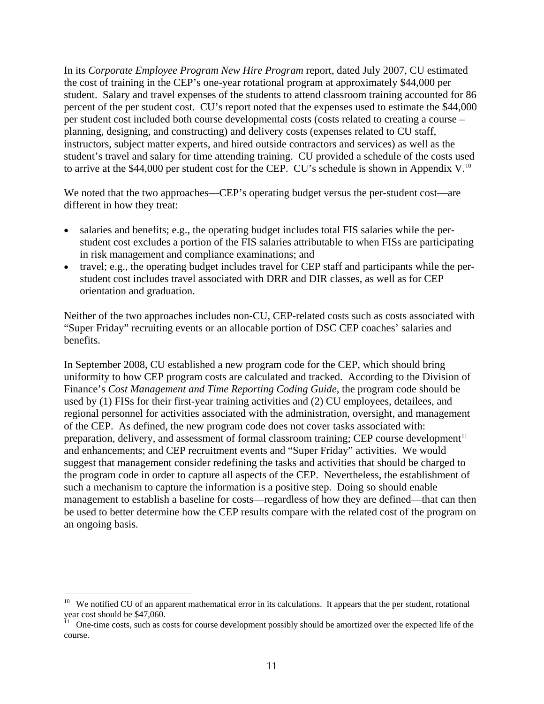<span id="page-14-0"></span>In its *Corporate Employee Program New Hire Program* report, dated July 2007, CU estimated the cost of training in the CEP's one-year rotational program at approximately \$44,000 per student. Salary and travel expenses of the students to attend classroom training accounted for 86 percent of the per student cost. CU's report noted that the expenses used to estimate the \$44,000 per student cost included both course developmental costs (costs related to creating a course – planning, designing, and constructing) and delivery costs (expenses related to CU staff, instructors, subject matter experts, and hired outside contractors and services) as well as the student's travel and salary for time attending training. CU provided a schedule of the costs used to arrive at the \$44,000 per student cost for the CEP. CU's schedule is shown in Appendix V.<sup>[10](#page-14-0)</sup>

We noted that the two approaches—CEP's operating budget versus the per-student cost—are different in how they treat:

- salaries and benefits; e.g., the operating budget includes total FIS salaries while the perstudent cost excludes a portion of the FIS salaries attributable to when FISs are participating in risk management and compliance examinations; and
- travel; e.g., the operating budget includes travel for CEP staff and participants while the perstudent cost includes travel associated with DRR and DIR classes, as well as for CEP orientation and graduation.

Neither of the two approaches includes non-CU, CEP-related costs such as costs associated with "Super Friday" recruiting events or an allocable portion of DSC CEP coaches' salaries and benefits.

In September 2008, CU established a new program code for the CEP, which should bring uniformity to how CEP program costs are calculated and tracked. According to the Division of Finance's *Cost Management and Time Reporting Coding Guide*, the program code should be used by (1) FISs for their first-year training activities and (2) CU employees, detailees, and regional personnel for activities associated with the administration, oversight, and management of the CEP. As defined, the new program code does not cover tasks associated with: preparation, delivery, and assessment of formal classroom training; CEP course development $11$ and enhancements; and CEP recruitment events and "Super Friday" activities. We would suggest that management consider redefining the tasks and activities that should be charged to the program code in order to capture all aspects of the CEP. Nevertheless, the establishment of such a mechanism to capture the information is a positive step. Doing so should enable management to establish a baseline for costs—regardless of how they are defined—that can then be used to better determine how the CEP results compare with the related cost of the program on an ongoing basis.

<u>.</u>

 $10$  We notified CU of an apparent mathematical error in its calculations. It appears that the per student, rotational year cost should be \$47,060.

 $11$  One-time costs, such as costs for course development possibly should be amortized over the expected life of the course.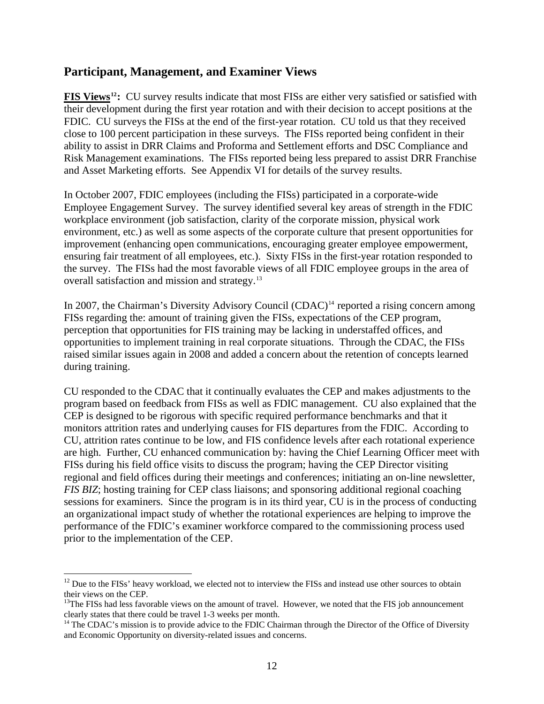## <span id="page-15-0"></span>**Participant, Management, and Examiner Views**

**FIS Views[12](#page-15-0):** CU survey results indicate that most FISs are either very satisfied or satisfied with their development during the first year rotation and with their decision to accept positions at the FDIC. CU surveys the FISs at the end of the first-year rotation. CU told us that they received close to 100 percent participation in these surveys. The FISs reported being confident in their ability to assist in DRR Claims and Proforma and Settlement efforts and DSC Compliance and Risk Management examinations. The FISs reported being less prepared to assist DRR Franchise and Asset Marketing efforts. See Appendix VI for details of the survey results.

In October 2007, FDIC employees (including the FISs) participated in a corporate-wide Employee Engagement Survey. The survey identified several key areas of strength in the FDIC workplace environment (job satisfaction, clarity of the corporate mission, physical work environment, etc.) as well as some aspects of the corporate culture that present opportunities for improvement (enhancing open communications, encouraging greater employee empowerment, ensuring fair treatment of all employees, etc.). Sixty FISs in the first-year rotation responded to the survey. The FISs had the most favorable views of all FDIC employee groups in the area of overall satisfaction and mission and strategy.[13](#page-15-0)

In 2007, the Chairman's Diversity Advisory Council (CDAC)<sup>[14](#page-15-0)</sup> reported a rising concern among FISs regarding the: amount of training given the FISs, expectations of the CEP program, perception that opportunities for FIS training may be lacking in understaffed offices, and opportunities to implement training in real corporate situations. Through the CDAC, the FISs raised similar issues again in 2008 and added a concern about the retention of concepts learned during training.

CU responded to the CDAC that it continually evaluates the CEP and makes adjustments to the program based on feedback from FISs as well as FDIC management. CU also explained that the CEP is designed to be rigorous with specific required performance benchmarks and that it monitors attrition rates and underlying causes for FIS departures from the FDIC. According to CU, attrition rates continue to be low, and FIS confidence levels after each rotational experience are high. Further, CU enhanced communication by: having the Chief Learning Officer meet with FISs during his field office visits to discuss the program; having the CEP Director visiting regional and field offices during their meetings and conferences; initiating an on-line newsletter, *FIS BIZ*; hosting training for CEP class liaisons; and sponsoring additional regional coaching sessions for examiners. Since the program is in its third year, CU is in the process of conducting an organizational impact study of whether the rotational experiences are helping to improve the performance of the FDIC's examiner workforce compared to the commissioning process used prior to the implementation of the CEP.

 $\overline{a}$  $12$  Due to the FISs' heavy workload, we elected not to interview the FISs and instead use other sources to obtain their views on the CEP.

<sup>&</sup>lt;sup>13</sup>The FISs had less favorable views on the amount of travel. However, we noted that the FIS job announcement clearly states that there could be travel  $1-3$  weeks per month.

<sup>&</sup>lt;sup>14</sup> The CDAC's mission is to provide advice to the FDIC Chairman through the Director of the Office of Diversity and Economic Opportunity on diversity-related issues and concerns.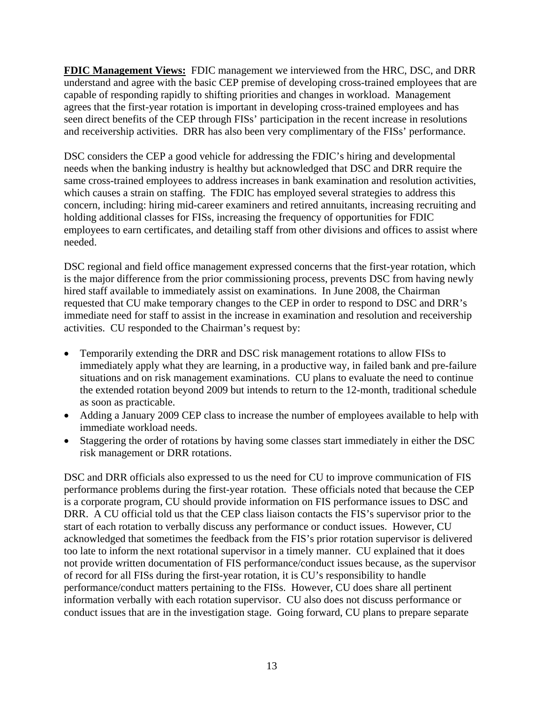**FDIC Management Views:** FDIC management we interviewed from the HRC, DSC, and DRR understand and agree with the basic CEP premise of developing cross-trained employees that are capable of responding rapidly to shifting priorities and changes in workload. Management agrees that the first-year rotation is important in developing cross-trained employees and has seen direct benefits of the CEP through FISs' participation in the recent increase in resolutions and receivership activities. DRR has also been very complimentary of the FISs' performance.

DSC considers the CEP a good vehicle for addressing the FDIC's hiring and developmental needs when the banking industry is healthy but acknowledged that DSC and DRR require the same cross-trained employees to address increases in bank examination and resolution activities, which causes a strain on staffing. The FDIC has employed several strategies to address this concern, including: hiring mid-career examiners and retired annuitants, increasing recruiting and holding additional classes for FISs, increasing the frequency of opportunities for FDIC employees to earn certificates, and detailing staff from other divisions and offices to assist where needed.

DSC regional and field office management expressed concerns that the first-year rotation, which is the major difference from the prior commissioning process, prevents DSC from having newly hired staff available to immediately assist on examinations. In June 2008, the Chairman requested that CU make temporary changes to the CEP in order to respond to DSC and DRR's immediate need for staff to assist in the increase in examination and resolution and receivership activities. CU responded to the Chairman's request by:

- Temporarily extending the DRR and DSC risk management rotations to allow FISs to immediately apply what they are learning, in a productive way, in failed bank and pre-failure situations and on risk management examinations. CU plans to evaluate the need to continue the extended rotation beyond 2009 but intends to return to the 12-month, traditional schedule as soon as practicable.
- Adding a January 2009 CEP class to increase the number of employees available to help with immediate workload needs.
- Staggering the order of rotations by having some classes start immediately in either the DSC risk management or DRR rotations.

DSC and DRR officials also expressed to us the need for CU to improve communication of FIS performance problems during the first-year rotation. These officials noted that because the CEP is a corporate program, CU should provide information on FIS performance issues to DSC and DRR. A CU official told us that the CEP class liaison contacts the FIS's supervisor prior to the start of each rotation to verbally discuss any performance or conduct issues. However, CU acknowledged that sometimes the feedback from the FIS's prior rotation supervisor is delivered too late to inform the next rotational supervisor in a timely manner. CU explained that it does not provide written documentation of FIS performance/conduct issues because, as the supervisor of record for all FISs during the first-year rotation, it is CU's responsibility to handle performance/conduct matters pertaining to the FISs. However, CU does share all pertinent information verbally with each rotation supervisor. CU also does not discuss performance or conduct issues that are in the investigation stage. Going forward, CU plans to prepare separate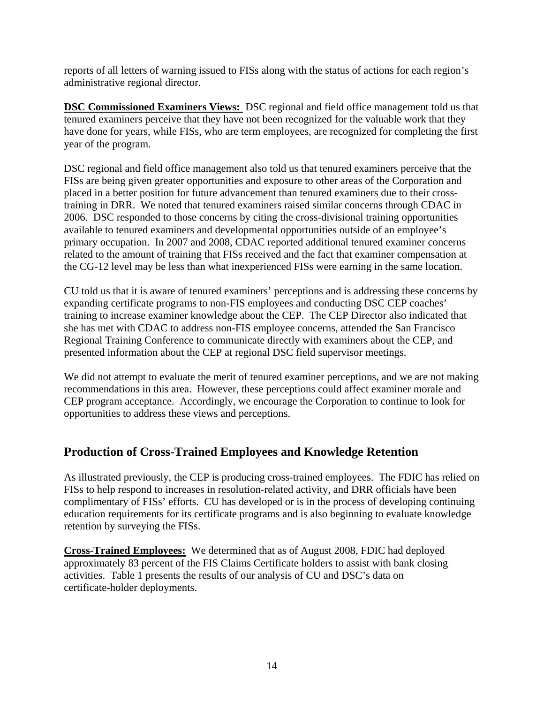reports of all letters of warning issued to FISs along with the status of actions for each region's administrative regional director.

**DSC Commissioned Examiners Views:** DSC regional and field office management told us that tenured examiners perceive that they have not been recognized for the valuable work that they have done for years, while FISs, who are term employees, are recognized for completing the first year of the program.

DSC regional and field office management also told us that tenured examiners perceive that the FISs are being given greater opportunities and exposure to other areas of the Corporation and placed in a better position for future advancement than tenured examiners due to their crosstraining in DRR. We noted that tenured examiners raised similar concerns through CDAC in 2006. DSC responded to those concerns by citing the cross-divisional training opportunities available to tenured examiners and developmental opportunities outside of an employee's primary occupation. In 2007 and 2008, CDAC reported additional tenured examiner concerns related to the amount of training that FISs received and the fact that examiner compensation at the CG-12 level may be less than what inexperienced FISs were earning in the same location.

CU told us that it is aware of tenured examiners' perceptions and is addressing these concerns by expanding certificate programs to non-FIS employees and conducting DSC CEP coaches' training to increase examiner knowledge about the CEP. The CEP Director also indicated that she has met with CDAC to address non-FIS employee concerns, attended the San Francisco Regional Training Conference to communicate directly with examiners about the CEP, and presented information about the CEP at regional DSC field supervisor meetings.

We did not attempt to evaluate the merit of tenured examiner perceptions, and we are not making recommendations in this area. However, these perceptions could affect examiner morale and CEP program acceptance. Accordingly, we encourage the Corporation to continue to look for opportunities to address these views and perceptions.

## **Production of Cross-Trained Employees and Knowledge Retention**

As illustrated previously, the CEP is producing cross-trained employees. The FDIC has relied on FISs to help respond to increases in resolution-related activity, and DRR officials have been complimentary of FISs' efforts. CU has developed or is in the process of developing continuing education requirements for its certificate programs and is also beginning to evaluate knowledge retention by surveying the FISs.

**Cross-Trained Employees:** We determined that as of August 2008, FDIC had deployed approximately 83 percent of the FIS Claims Certificate holders to assist with bank closing activities. Table 1 presents the results of our analysis of CU and DSC's data on certificate-holder deployments.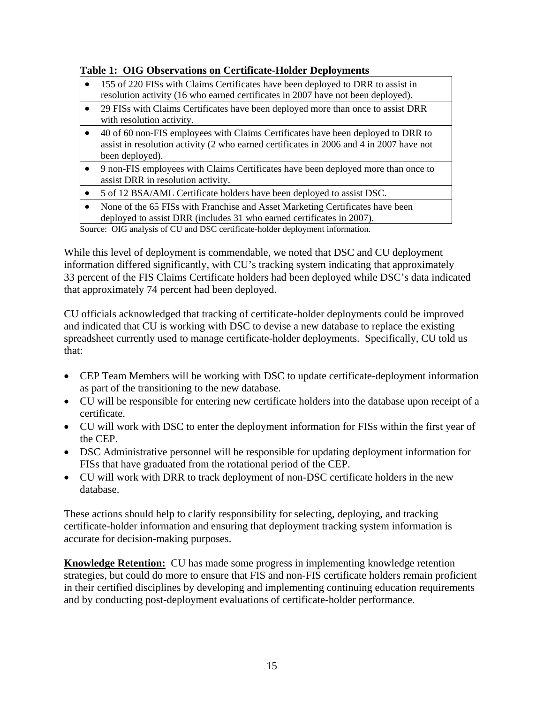## **Table 1: OIG Observations on Certificate-Holder Deployments**

- 155 of 220 FISs with Claims Certificates have been deployed to DRR to assist in resolution activity (16 who earned certificates in 2007 have not been deployed).
- 29 FISs with Claims Certificates have been deployed more than once to assist DRR with resolution activity.
- 40 of 60 non-FIS employees with Claims Certificates have been deployed to DRR to assist in resolution activity (2 who earned certificates in 2006 and 4 in 2007 have not been deployed).
- 9 non-FIS employees with Claims Certificates have been deployed more than once to assist DRR in resolution activity.
- 5 of 12 BSA/AML Certificate holders have been deployed to assist DSC.
- None of the 65 FISs with Franchise and Asset Marketing Certificates have been deployed to assist DRR (includes 31 who earned certificates in 2007).

Source: OIG analysis of CU and DSC certificate-holder deployment information.

While this level of deployment is commendable, we noted that DSC and CU deployment information differed significantly, with CU's tracking system indicating that approximately 33 percent of the FIS Claims Certificate holders had been deployed while DSC's data indicated that approximately 74 percent had been deployed.

CU officials acknowledged that tracking of certificate-holder deployments could be improved and indicated that CU is working with DSC to devise a new database to replace the existing spreadsheet currently used to manage certificate-holder deployments. Specifically, CU told us that:

- CEP Team Members will be working with DSC to update certificate-deployment information as part of the transitioning to the new database.
- CU will be responsible for entering new certificate holders into the database upon receipt of a certificate.
- CU will work with DSC to enter the deployment information for FISs within the first year of the CEP.
- DSC Administrative personnel will be responsible for updating deployment information for FISs that have graduated from the rotational period of the CEP.
- CU will work with DRR to track deployment of non-DSC certificate holders in the new database.

These actions should help to clarify responsibility for selecting, deploying, and tracking certificate-holder information and ensuring that deployment tracking system information is accurate for decision-making purposes.

**Knowledge Retention:** CU has made some progress in implementing knowledge retention strategies, but could do more to ensure that FIS and non-FIS certificate holders remain proficient in their certified disciplines by developing and implementing continuing education requirements and by conducting post-deployment evaluations of certificate-holder performance.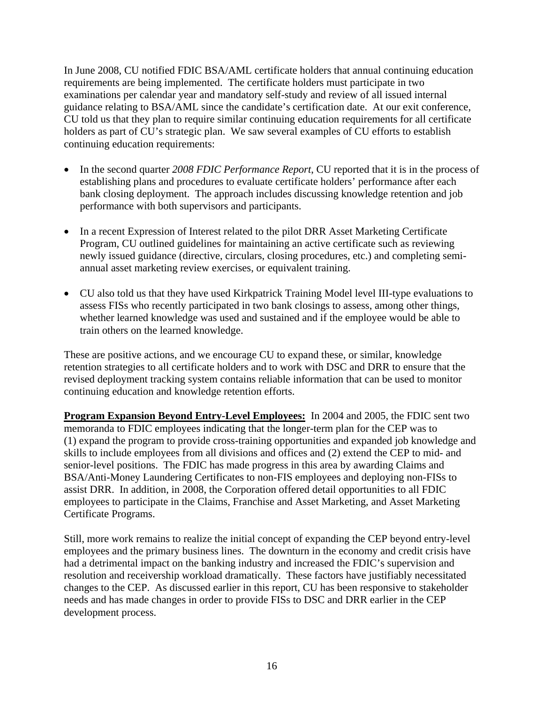In June 2008, CU notified FDIC BSA/AML certificate holders that annual continuing education requirements are being implemented. The certificate holders must participate in two examinations per calendar year and mandatory self-study and review of all issued internal guidance relating to BSA/AML since the candidate's certification date. At our exit conference, CU told us that they plan to require similar continuing education requirements for all certificate holders as part of CU's strategic plan. We saw several examples of CU efforts to establish continuing education requirements:

- In the second quarter *2008 FDIC Performance Report*, CU reported that it is in the process of establishing plans and procedures to evaluate certificate holders' performance after each bank closing deployment. The approach includes discussing knowledge retention and job performance with both supervisors and participants.
- In a recent Expression of Interest related to the pilot DRR Asset Marketing Certificate Program, CU outlined guidelines for maintaining an active certificate such as reviewing newly issued guidance (directive, circulars, closing procedures, etc.) and completing semiannual asset marketing review exercises, or equivalent training.
- CU also told us that they have used Kirkpatrick Training Model level III-type evaluations to assess FISs who recently participated in two bank closings to assess, among other things, whether learned knowledge was used and sustained and if the employee would be able to train others on the learned knowledge.

These are positive actions, and we encourage CU to expand these, or similar, knowledge retention strategies to all certificate holders and to work with DSC and DRR to ensure that the revised deployment tracking system contains reliable information that can be used to monitor continuing education and knowledge retention efforts.

**Program Expansion Beyond Entry-Level Employees:** In 2004 and 2005, the FDIC sent two memoranda to FDIC employees indicating that the longer-term plan for the CEP was to (1) expand the program to provide cross-training opportunities and expanded job knowledge and skills to include employees from all divisions and offices and (2) extend the CEP to mid- and senior-level positions. The FDIC has made progress in this area by awarding Claims and BSA/Anti-Money Laundering Certificates to non-FIS employees and deploying non-FISs to assist DRR. In addition, in 2008, the Corporation offered detail opportunities to all FDIC employees to participate in the Claims, Franchise and Asset Marketing, and Asset Marketing Certificate Programs.

Still, more work remains to realize the initial concept of expanding the CEP beyond entry-level employees and the primary business lines. The downturn in the economy and credit crisis have had a detrimental impact on the banking industry and increased the FDIC's supervision and resolution and receivership workload dramatically. These factors have justifiably necessitated changes to the CEP. As discussed earlier in this report, CU has been responsive to stakeholder needs and has made changes in order to provide FISs to DSC and DRR earlier in the CEP development process.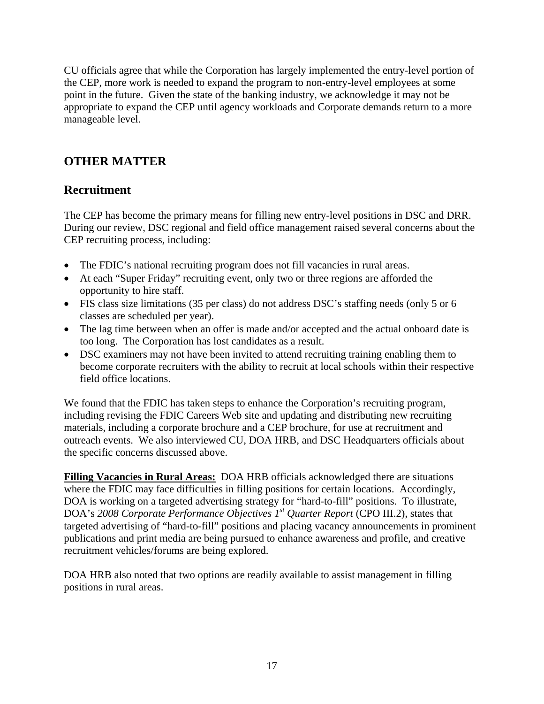CU officials agree that while the Corporation has largely implemented the entry-level portion of the CEP, more work is needed to expand the program to non-entry-level employees at some point in the future. Given the state of the banking industry, we acknowledge it may not be appropriate to expand the CEP until agency workloads and Corporate demands return to a more manageable level.

# **OTHER MATTER**

## **Recruitment**

The CEP has become the primary means for filling new entry-level positions in DSC and DRR. During our review, DSC regional and field office management raised several concerns about the CEP recruiting process, including:

- The FDIC's national recruiting program does not fill vacancies in rural areas.
- At each "Super Friday" recruiting event, only two or three regions are afforded the opportunity to hire staff.
- FIS class size limitations (35 per class) do not address DSC's staffing needs (only 5 or 6 classes are scheduled per year).
- The lag time between when an offer is made and/or accepted and the actual onboard date is too long. The Corporation has lost candidates as a result.
- DSC examiners may not have been invited to attend recruiting training enabling them to become corporate recruiters with the ability to recruit at local schools within their respective field office locations.

We found that the FDIC has taken steps to enhance the Corporation's recruiting program, including revising the FDIC Careers Web site and updating and distributing new recruiting materials, including a corporate brochure and a CEP brochure, for use at recruitment and outreach events. We also interviewed CU, DOA HRB, and DSC Headquarters officials about the specific concerns discussed above.

**Filling Vacancies in Rural Areas:** DOA HRB officials acknowledged there are situations where the FDIC may face difficulties in filling positions for certain locations. Accordingly, DOA is working on a targeted advertising strategy for "hard-to-fill" positions. To illustrate, DOA's *2008 Corporate Performance Objectives 1st Quarter Report* (CPO III.2), states that targeted advertising of "hard-to-fill" positions and placing vacancy announcements in prominent publications and print media are being pursued to enhance awareness and profile, and creative recruitment vehicles/forums are being explored.

DOA HRB also noted that two options are readily available to assist management in filling positions in rural areas.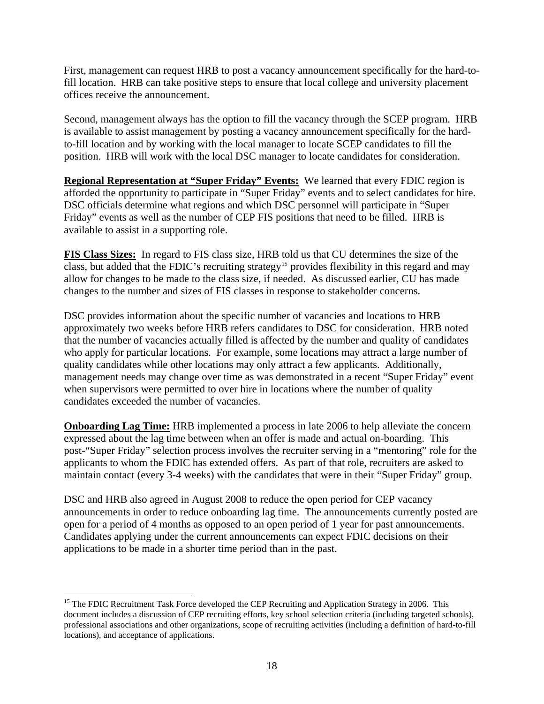<span id="page-21-0"></span>First, management can request HRB to post a vacancy announcement specifically for the hard-tofill location. HRB can take positive steps to ensure that local college and university placement offices receive the announcement.

Second, management always has the option to fill the vacancy through the SCEP program. HRB is available to assist management by posting a vacancy announcement specifically for the hardto-fill location and by working with the local manager to locate SCEP candidates to fill the position. HRB will work with the local DSC manager to locate candidates for consideration.

**Regional Representation at "Super Friday" Events:** We learned that every FDIC region is afforded the opportunity to participate in "Super Friday" events and to select candidates for hire. DSC officials determine what regions and which DSC personnel will participate in "Super Friday" events as well as the number of CEP FIS positions that need to be filled. HRB is available to assist in a supporting role.

**FIS Class Sizes:** In regard to FIS class size, HRB told us that CU determines the size of the class, but added that the FDIC's recruiting strategy<sup>[15](#page-21-0)</sup> provides flexibility in this regard and may allow for changes to be made to the class size, if needed. As discussed earlier, CU has made changes to the number and sizes of FIS classes in response to stakeholder concerns.

DSC provides information about the specific number of vacancies and locations to HRB approximately two weeks before HRB refers candidates to DSC for consideration. HRB noted that the number of vacancies actually filled is affected by the number and quality of candidates who apply for particular locations. For example, some locations may attract a large number of quality candidates while other locations may only attract a few applicants. Additionally, management needs may change over time as was demonstrated in a recent "Super Friday" event when supervisors were permitted to over hire in locations where the number of quality candidates exceeded the number of vacancies.

**Onboarding Lag Time:** HRB implemented a process in late 2006 to help alleviate the concern expressed about the lag time between when an offer is made and actual on-boarding. This post-"Super Friday" selection process involves the recruiter serving in a "mentoring" role for the applicants to whom the FDIC has extended offers. As part of that role, recruiters are asked to maintain contact (every 3-4 weeks) with the candidates that were in their "Super Friday" group.

DSC and HRB also agreed in August 2008 to reduce the open period for CEP vacancy announcements in order to reduce onboarding lag time. The announcements currently posted are open for a period of 4 months as opposed to an open period of 1 year for past announcements. Candidates applying under the current announcements can expect FDIC decisions on their applications to be made in a shorter time period than in the past.

 $\overline{a}$ 

<sup>&</sup>lt;sup>15</sup> The FDIC Recruitment Task Force developed the CEP Recruiting and Application Strategy in 2006. This document includes a discussion of CEP recruiting efforts, key school selection criteria (including targeted schools), professional associations and other organizations, scope of recruiting activities (including a definition of hard-to-fill locations), and acceptance of applications.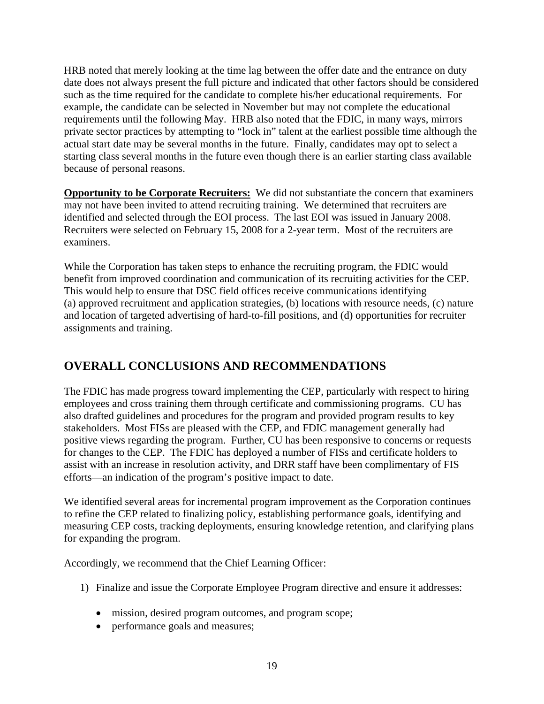HRB noted that merely looking at the time lag between the offer date and the entrance on duty date does not always present the full picture and indicated that other factors should be considered such as the time required for the candidate to complete his/her educational requirements. For example, the candidate can be selected in November but may not complete the educational requirements until the following May. HRB also noted that the FDIC, in many ways, mirrors private sector practices by attempting to "lock in" talent at the earliest possible time although the actual start date may be several months in the future. Finally, candidates may opt to select a starting class several months in the future even though there is an earlier starting class available because of personal reasons.

**Opportunity to be Corporate Recruiters:** We did not substantiate the concern that examiners may not have been invited to attend recruiting training. We determined that recruiters are identified and selected through the EOI process. The last EOI was issued in January 2008. Recruiters were selected on February 15, 2008 for a 2-year term. Most of the recruiters are examiners.

While the Corporation has taken steps to enhance the recruiting program, the FDIC would benefit from improved coordination and communication of its recruiting activities for the CEP. This would help to ensure that DSC field offices receive communications identifying (a) approved recruitment and application strategies, (b) locations with resource needs, (c) nature and location of targeted advertising of hard-to-fill positions, and (d) opportunities for recruiter assignments and training.

# **OVERALL CONCLUSIONS AND RECOMMENDATIONS**

The FDIC has made progress toward implementing the CEP, particularly with respect to hiring employees and cross training them through certificate and commissioning programs. CU has also drafted guidelines and procedures for the program and provided program results to key stakeholders. Most FISs are pleased with the CEP, and FDIC management generally had positive views regarding the program. Further, CU has been responsive to concerns or requests for changes to the CEP. The FDIC has deployed a number of FISs and certificate holders to assist with an increase in resolution activity, and DRR staff have been complimentary of FIS efforts—an indication of the program's positive impact to date.

We identified several areas for incremental program improvement as the Corporation continues to refine the CEP related to finalizing policy, establishing performance goals, identifying and measuring CEP costs, tracking deployments, ensuring knowledge retention, and clarifying plans for expanding the program.

Accordingly, we recommend that the Chief Learning Officer:

- 1) Finalize and issue the Corporate Employee Program directive and ensure it addresses:
	- mission, desired program outcomes, and program scope;
	- performance goals and measures;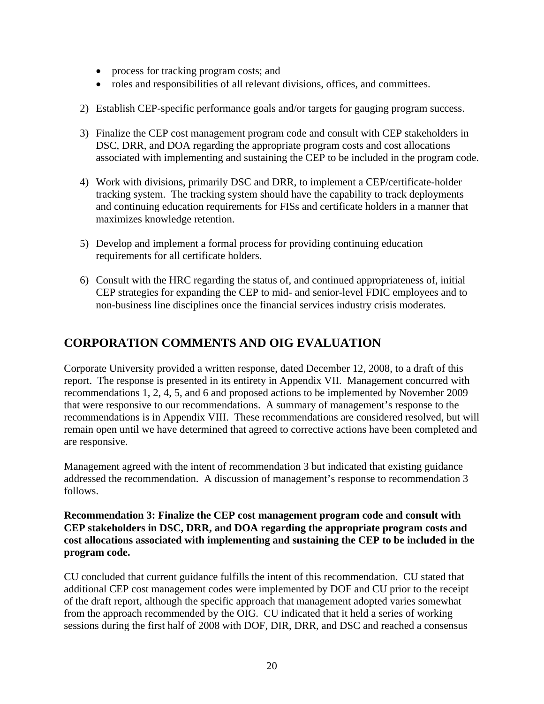- process for tracking program costs; and
- roles and responsibilities of all relevant divisions, offices, and committees.
- 2) Establish CEP-specific performance goals and/or targets for gauging program success.
- 3) Finalize the CEP cost management program code and consult with CEP stakeholders in DSC, DRR, and DOA regarding the appropriate program costs and cost allocations associated with implementing and sustaining the CEP to be included in the program code.
- 4) Work with divisions, primarily DSC and DRR, to implement a CEP/certificate-holder tracking system. The tracking system should have the capability to track deployments and continuing education requirements for FISs and certificate holders in a manner that maximizes knowledge retention.
- 5) Develop and implement a formal process for providing continuing education requirements for all certificate holders.
- 6) Consult with the HRC regarding the status of, and continued appropriateness of, initial CEP strategies for expanding the CEP to mid- and senior-level FDIC employees and to non-business line disciplines once the financial services industry crisis moderates.

## **CORPORATION COMMENTS AND OIG EVALUATION**

Corporate University provided a written response, dated December 12, 2008, to a draft of this report. The response is presented in its entirety in Appendix VII. Management concurred with recommendations 1, 2, 4, 5, and 6 and proposed actions to be implemented by November 2009 that were responsive to our recommendations. A summary of management's response to the recommendations is in Appendix VIII. These recommendations are considered resolved, but will remain open until we have determined that agreed to corrective actions have been completed and are responsive.

Management agreed with the intent of recommendation 3 but indicated that existing guidance addressed the recommendation. A discussion of management's response to recommendation 3 follows.

## **Recommendation 3: Finalize the CEP cost management program code and consult with CEP stakeholders in DSC, DRR, and DOA regarding the appropriate program costs and cost allocations associated with implementing and sustaining the CEP to be included in the program code.**

CU concluded that current guidance fulfills the intent of this recommendation. CU stated that additional CEP cost management codes were implemented by DOF and CU prior to the receipt of the draft report, although the specific approach that management adopted varies somewhat from the approach recommended by the OIG. CU indicated that it held a series of working sessions during the first half of 2008 with DOF, DIR, DRR, and DSC and reached a consensus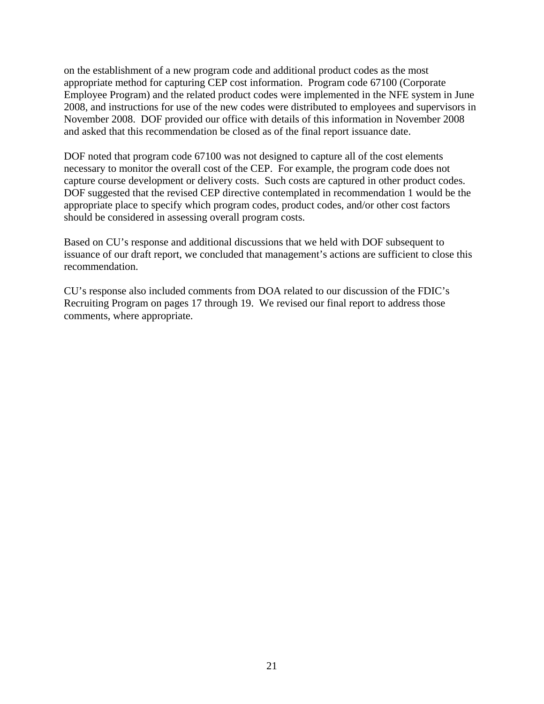on the establishment of a new program code and additional product codes as the most appropriate method for capturing CEP cost information. Program code 67100 (Corporate Employee Program) and the related product codes were implemented in the NFE system in June 2008, and instructions for use of the new codes were distributed to employees and supervisors in November 2008. DOF provided our office with details of this information in November 2008 and asked that this recommendation be closed as of the final report issuance date.

DOF noted that program code 67100 was not designed to capture all of the cost elements necessary to monitor the overall cost of the CEP. For example, the program code does not capture course development or delivery costs. Such costs are captured in other product codes. DOF suggested that the revised CEP directive contemplated in recommendation 1 would be the appropriate place to specify which program codes, product codes, and/or other cost factors should be considered in assessing overall program costs.

Based on CU's response and additional discussions that we held with DOF subsequent to issuance of our draft report, we concluded that management's actions are sufficient to close this recommendation.

CU's response also included comments from DOA related to our discussion of the FDIC's Recruiting Program on pages 17 through 19. We revised our final report to address those comments, where appropriate.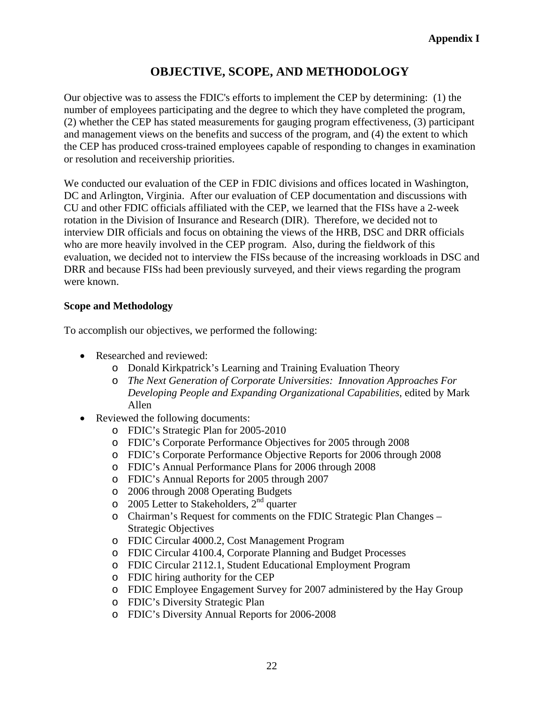# **OBJECTIVE, SCOPE, AND METHODOLOGY**

Our objective was to assess the FDIC's efforts to implement the CEP by determining: (1) the number of employees participating and the degree to which they have completed the program, (2) whether the CEP has stated measurements for gauging program effectiveness, (3) participant and management views on the benefits and success of the program, and (4) the extent to which the CEP has produced cross-trained employees capable of responding to changes in examination or resolution and receivership priorities.

We conducted our evaluation of the CEP in FDIC divisions and offices located in Washington, DC and Arlington, Virginia. After our evaluation of CEP documentation and discussions with CU and other FDIC officials affiliated with the CEP, we learned that the FISs have a 2-week rotation in the Division of Insurance and Research (DIR). Therefore, we decided not to interview DIR officials and focus on obtaining the views of the HRB, DSC and DRR officials who are more heavily involved in the CEP program. Also, during the fieldwork of this evaluation, we decided not to interview the FISs because of the increasing workloads in DSC and DRR and because FISs had been previously surveyed, and their views regarding the program were known.

## **Scope and Methodology**

To accomplish our objectives, we performed the following:

- Researched and reviewed:
	- o Donald Kirkpatrick's Learning and Training Evaluation Theory
	- o *The Next Generation of Corporate Universities: Innovation Approaches For Developing People and Expanding Organizational Capabilities*, edited by Mark Allen
- Reviewed the following documents:
	- o FDIC's Strategic Plan for 2005-2010
	- o FDIC's Corporate Performance Objectives for 2005 through 2008
	- o FDIC's Corporate Performance Objective Reports for 2006 through 2008
	- o FDIC's Annual Performance Plans for 2006 through 2008
	- o FDIC's Annual Reports for 2005 through 2007
	- o 2006 through 2008 Operating Budgets
	- $\circ$  2005 Letter to Stakeholders,  $2<sup>nd</sup>$  quarter
	- o Chairman's Request for comments on the FDIC Strategic Plan Changes Strategic Objectives
	- o FDIC Circular 4000.2, Cost Management Program
	- o FDIC Circular 4100.4, Corporate Planning and Budget Processes
	- o FDIC Circular 2112.1, Student Educational Employment Program
	- o FDIC hiring authority for the CEP
	- o FDIC Employee Engagement Survey for 2007 administered by the Hay Group
	- o FDIC's Diversity Strategic Plan
	- o FDIC's Diversity Annual Reports for 2006-2008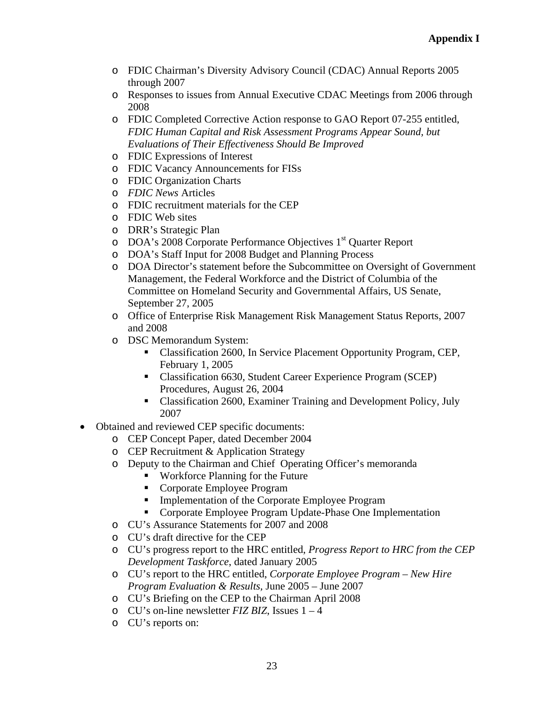- o FDIC Chairman's Diversity Advisory Council (CDAC) Annual Reports 2005 through 2007
- o Responses to issues from Annual Executive CDAC Meetings from 2006 through 2008
- o FDIC Completed Corrective Action response to GAO Report 07-255 entitled, *FDIC Human Capital and Risk Assessment Programs Appear Sound, but Evaluations of Their Effectiveness Should Be Improved*
- o FDIC Expressions of Interest
- o FDIC Vacancy Announcements for FISs
- o FDIC Organization Charts
- o *FDIC News* Articles
- o FDIC recruitment materials for the CEP
- o FDIC Web sites
- o DRR's Strategic Plan
- o DOA's 2008 Corporate Performance Objectives 1<sup>st</sup> Quarter Report
- o DOA's Staff Input for 2008 Budget and Planning Process
- o DOA Director's statement before the Subcommittee on Oversight of Government Management, the Federal Workforce and the District of Columbia of the Committee on Homeland Security and Governmental Affairs, US Senate, September 27, 2005
- o Office of Enterprise Risk Management Risk Management Status Reports, 2007 and 2008
- o DSC Memorandum System:
	- Classification 2600, In Service Placement Opportunity Program, CEP, February 1, 2005
	- Classification 6630, Student Career Experience Program (SCEP) Procedures, August 26, 2004
	- Classification 2600, Examiner Training and Development Policy, July 2007
- Obtained and reviewed CEP specific documents:
	- o CEP Concept Paper, dated December 2004
	- o CEP Recruitment & Application Strategy
	- o Deputy to the Chairman and Chief Operating Officer's memoranda
		- Workforce Planning for the Future
		- Corporate Employee Program
		- Implementation of the Corporate Employee Program
		- Corporate Employee Program Update-Phase One Implementation
	- o CU's Assurance Statements for 2007 and 2008
	- o CU's draft directive for the CEP
	- o CU's progress report to the HRC entitled, *Progress Report to HRC from the CEP Development Taskforce*, dated January 2005
	- o CU's report to the HRC entitled, *Corporate Employee Program New Hire Program Evaluation & Results,* June 2005 – June 2007
	- o CU's Briefing on the CEP to the Chairman April 2008
	- o CU's on-line newsletter *FIZ BIZ*, Issues 1 4
	- o CU's reports on: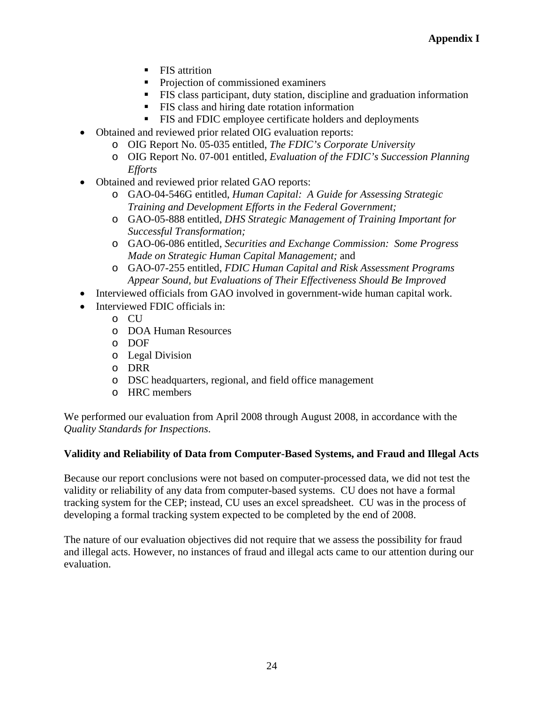- **FIS** attrition
- Projection of commissioned examiners
- FIS class participant, duty station, discipline and graduation information
- FIS class and hiring date rotation information
- FIS and FDIC employee certificate holders and deployments
- Obtained and reviewed prior related OIG evaluation reports:
	- o OIG Report No. 05-035 entitled, *The FDIC's Corporate University*
	- o OIG Report No. 07-001 entitled, *Evaluation of the FDIC's Succession Planning Efforts*
- Obtained and reviewed prior related GAO reports:
	- o GAO-04-546G entitled, *Human Capital: A Guide for Assessing Strategic Training and Development Efforts in the Federal Government;*
	- o GAO-05-888 entitled, *DHS Strategic Management of Training Important for Successful Transformation;*
	- o GAO-06-086 entitled, *Securities and Exchange Commission: Some Progress Made on Strategic Human Capital Management;* and
	- o GAO-07-255 entitled, *FDIC Human Capital and Risk Assessment Programs Appear Sound, but Evaluations of Their Effectiveness Should Be Improved*
- Interviewed officials from GAO involved in government-wide human capital work.
- Interviewed FDIC officials in:
	- o CU
	- o DOA Human Resources
	- o DOF
	- o Legal Division
	- o DRR
	- o DSC headquarters, regional, and field office management
	- o HRC members

We performed our evaluation from April 2008 through August 2008, in accordance with the *Quality Standards for Inspections*.

## **Validity and Reliability of Data from Computer-Based Systems, and Fraud and Illegal Acts**

Because our report conclusions were not based on computer-processed data, we did not test the validity or reliability of any data from computer-based systems. CU does not have a formal tracking system for the CEP; instead, CU uses an excel spreadsheet. CU was in the process of developing a formal tracking system expected to be completed by the end of 2008.

The nature of our evaluation objectives did not require that we assess the possibility for fraud and illegal acts. However, no instances of fraud and illegal acts came to our attention during our evaluation.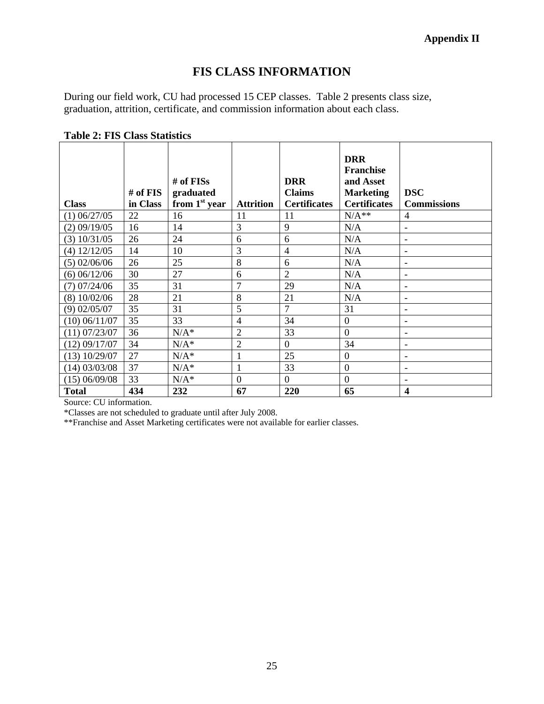## **Appendix II**

# **FIS CLASS INFORMATION**

During our field work, CU had processed 15 CEP classes. Table 2 presents class size, graduation, attrition, certificate, and commission information about each class.

| <b>Class</b>      | $#$ of FIS<br>in Class | # of $FISs$<br>graduated<br>from $1st$ year | <b>Attrition</b> | <b>DRR</b><br><b>Claims</b><br><b>Certificates</b> | <b>DRR</b><br><b>Franchise</b><br>and Asset<br><b>Marketing</b><br><b>Certificates</b> | <b>DSC</b><br><b>Commissions</b> |
|-------------------|------------------------|---------------------------------------------|------------------|----------------------------------------------------|----------------------------------------------------------------------------------------|----------------------------------|
| $(1)$ 06/27/05    | 22                     | 16                                          | 11               | 11                                                 | $\rm N/A^{**}$                                                                         | 4                                |
| $(2)$ 09/19/05    | 16                     | 14                                          | 3                | 9                                                  | N/A                                                                                    | $\blacksquare$                   |
| $(3)$ 10/31/05    | 26                     | 24                                          | 6                | 6                                                  | N/A                                                                                    |                                  |
| $(4)$ 12/12/05    | 14                     | 10                                          | $\overline{3}$   | $\overline{4}$                                     | N/A                                                                                    | $\blacksquare$                   |
| $(5)$ 02/06/06    | 26                     | 25                                          | 8                | 6                                                  | N/A                                                                                    | $\overline{\phantom{a}}$         |
| $(6)$ 06/12/06    | 30                     | 27                                          | 6                | $\overline{2}$                                     | N/A                                                                                    | $\overline{\phantom{a}}$         |
| $(7)$ 07/24/06    | 35                     | 31                                          | $\overline{7}$   | 29                                                 | N/A                                                                                    | $\blacksquare$                   |
| (8) 10/02/06      | 28                     | 21                                          | 8                | 21                                                 | N/A                                                                                    | $\blacksquare$                   |
| $(9)$ 02/05/07    | 35                     | 31                                          | 5                | 7                                                  | 31                                                                                     | $\overline{\phantom{a}}$         |
| $(10)$ 06/11/07   | 35                     | 33                                          | $\overline{4}$   | 34                                                 | $\boldsymbol{0}$                                                                       | $\overline{\phantom{a}}$         |
| $(11)$ 07/23/07   | 36                     | $N/A^*$                                     | $\overline{2}$   | 33                                                 | $\boldsymbol{0}$                                                                       |                                  |
| (12) 09/17/07     | 34                     | $N/A^*$                                     | $\overline{2}$   | $\Omega$                                           | 34                                                                                     |                                  |
| $(13)$ $10/29/07$ | 27                     | $N/A^*$                                     | $\mathbf{1}$     | 25                                                 | $\overline{0}$                                                                         | $\overline{\phantom{a}}$         |
| $(14)$ 03/03/08   | 37                     | $N/A^*$                                     | $\mathbf{1}$     | 33                                                 | $\overline{0}$                                                                         |                                  |
| $(15)$ 06/09/08   | 33                     | $N/A^*$                                     | $\overline{0}$   | $\overline{0}$                                     | $\overline{0}$                                                                         | $\overline{\phantom{a}}$         |
| <b>Total</b>      | 434                    | 232                                         | 67               | 220                                                | 65                                                                                     | $\overline{\mathbf{4}}$          |

**Table 2: FIS Class Statistics** 

Source: CU information.

\*Classes are not scheduled to graduate until after July 2008.

\*\*Franchise and Asset Marketing certificates were not available for earlier classes.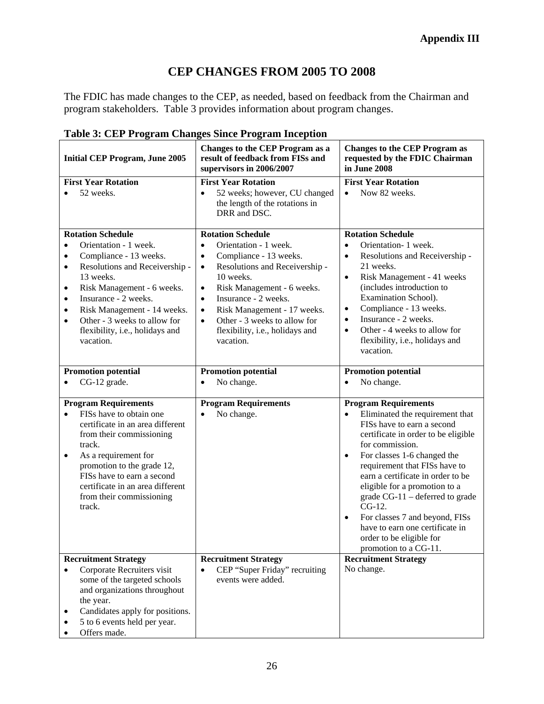# **CEP CHANGES FROM 2005 TO 2008**

The FDIC has made changes to the CEP, as needed, based on feedback from the Chairman and program stakeholders. Table 3 provides information about program changes.

| <b>Initial CEP Program, June 2005</b>                                                                                                                                                                                                                                                                                                                                      | <b>Changes to the CEP Program as a</b><br>result of feedback from FISs and<br>supervisors in 2006/2007                                                                                                                                                                                                                                                                                     | <b>Changes to the CEP Program as</b><br>requested by the FDIC Chairman<br>in June 2008                                                                                                                                                                                                                                                                                                                                                                                                                     |  |  |
|----------------------------------------------------------------------------------------------------------------------------------------------------------------------------------------------------------------------------------------------------------------------------------------------------------------------------------------------------------------------------|--------------------------------------------------------------------------------------------------------------------------------------------------------------------------------------------------------------------------------------------------------------------------------------------------------------------------------------------------------------------------------------------|------------------------------------------------------------------------------------------------------------------------------------------------------------------------------------------------------------------------------------------------------------------------------------------------------------------------------------------------------------------------------------------------------------------------------------------------------------------------------------------------------------|--|--|
| <b>First Year Rotation</b><br>52 weeks.                                                                                                                                                                                                                                                                                                                                    | <b>First Year Rotation</b><br>52 weeks; however, CU changed<br>$\bullet$<br>the length of the rotations in<br>DRR and DSC.                                                                                                                                                                                                                                                                 | <b>First Year Rotation</b><br>Now 82 weeks.<br>$\bullet$                                                                                                                                                                                                                                                                                                                                                                                                                                                   |  |  |
| <b>Rotation Schedule</b><br>Orientation - 1 week.<br>$\bullet$<br>Compliance - 13 weeks.<br>$\bullet$<br>Resolutions and Receivership -<br>$\bullet$<br>13 weeks.<br>Risk Management - 6 weeks.<br>٠<br>Insurance - 2 weeks.<br>٠<br>Risk Management - 14 weeks.<br>$\bullet$<br>Other - 3 weeks to allow for<br>$\bullet$<br>flexibility, i.e., holidays and<br>vacation. | <b>Rotation Schedule</b><br>Orientation - 1 week.<br>$\bullet$<br>Compliance - 13 weeks.<br>$\bullet$<br>Resolutions and Receivership -<br>$\bullet$<br>10 weeks.<br>Risk Management - 6 weeks.<br>$\bullet$<br>Insurance - 2 weeks.<br>$\bullet$<br>Risk Management - 17 weeks.<br>$\bullet$<br>Other - 3 weeks to allow for<br>$\bullet$<br>flexibility, i.e., holidays and<br>vacation. | <b>Rotation Schedule</b><br>Orientation- 1 week.<br>$\bullet$<br>Resolutions and Receivership -<br>$\bullet$<br>21 weeks.<br>Risk Management - 41 weeks<br>$\bullet$<br>(includes introduction to<br>Examination School).<br>Compliance - 13 weeks.<br>$\bullet$<br>Insurance - 2 weeks.<br>$\bullet$<br>Other - 4 weeks to allow for<br>$\bullet$<br>flexibility, i.e., holidays and<br>vacation.                                                                                                         |  |  |
| <b>Promotion potential</b><br>CG-12 grade.                                                                                                                                                                                                                                                                                                                                 | <b>Promotion potential</b><br>No change.<br>$\bullet$                                                                                                                                                                                                                                                                                                                                      | <b>Promotion potential</b><br>No change.<br>$\bullet$                                                                                                                                                                                                                                                                                                                                                                                                                                                      |  |  |
| <b>Program Requirements</b><br>FISs have to obtain one<br>$\bullet$<br>certificate in an area different<br>from their commissioning<br>track.<br>As a requirement for<br>$\bullet$<br>promotion to the grade 12,<br>FISs have to earn a second<br>certificate in an area different<br>from their commissioning<br>track.                                                   | <b>Program Requirements</b><br>No change.<br>$\bullet$                                                                                                                                                                                                                                                                                                                                     | <b>Program Requirements</b><br>Eliminated the requirement that<br>$\bullet$<br>FISs have to earn a second<br>certificate in order to be eligible<br>for commission.<br>For classes 1-6 changed the<br>$\bullet$<br>requirement that FISs have to<br>earn a certificate in order to be<br>eligible for a promotion to a<br>grade CG-11 – deferred to grade<br>CG-12.<br>For classes 7 and beyond, FISs<br>$\bullet$<br>have to earn one certificate in<br>order to be eligible for<br>promotion to a CG-11. |  |  |
| <b>Recruitment Strategy</b><br>Corporate Recruiters visit<br>$\bullet$<br>some of the targeted schools<br>and organizations throughout<br>the year.<br>Candidates apply for positions.<br>5 to 6 events held per year.<br>Offers made.                                                                                                                                     | <b>Recruitment Strategy</b><br>CEP "Super Friday" recruiting<br>events were added.                                                                                                                                                                                                                                                                                                         | <b>Recruitment Strategy</b><br>No change.                                                                                                                                                                                                                                                                                                                                                                                                                                                                  |  |  |

## **Table 3: CEP Program Changes Since Program Inception**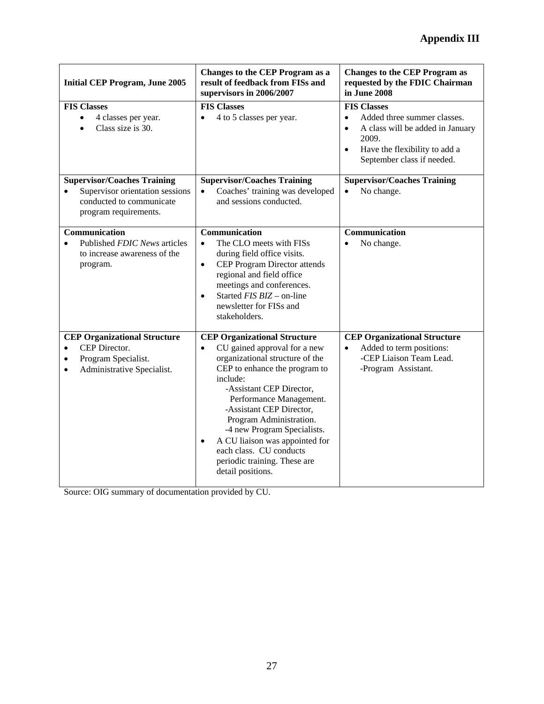| <b>Initial CEP Program, June 2005</b>                                                                                                            | Changes to the CEP Program as a<br>result of feedback from FISs and<br>supervisors in 2006/2007                                                                                                                                                                                                                                                                                                                                              | <b>Changes to the CEP Program as</b><br>requested by the FDIC Chairman<br>in June 2008                                                                                                               |
|--------------------------------------------------------------------------------------------------------------------------------------------------|----------------------------------------------------------------------------------------------------------------------------------------------------------------------------------------------------------------------------------------------------------------------------------------------------------------------------------------------------------------------------------------------------------------------------------------------|------------------------------------------------------------------------------------------------------------------------------------------------------------------------------------------------------|
| <b>FIS Classes</b><br>4 classes per year.<br>$\bullet$<br>Class size is 30.<br>$\bullet$                                                         | <b>FIS Classes</b><br>4 to 5 classes per year.<br>$\bullet$                                                                                                                                                                                                                                                                                                                                                                                  | <b>FIS Classes</b><br>Added three summer classes.<br>$\bullet$<br>A class will be added in January<br>$\bullet$<br>2009.<br>Have the flexibility to add a<br>$\bullet$<br>September class if needed. |
| <b>Supervisor/Coaches Training</b><br>Supervisor orientation sessions<br>$\bullet$<br>conducted to communicate<br>program requirements.          | <b>Supervisor/Coaches Training</b><br>Coaches' training was developed<br>$\bullet$<br>and sessions conducted.                                                                                                                                                                                                                                                                                                                                | <b>Supervisor/Coaches Training</b><br>No change.<br>$\bullet$                                                                                                                                        |
| Communication<br>Published FDIC News articles<br>$\bullet$<br>to increase awareness of the<br>program.                                           | Communication<br>The CLO meets with FISs<br>$\bullet$<br>during field office visits.<br>CEP Program Director attends<br>$\bullet$<br>regional and field office<br>meetings and conferences.<br>Started FIS BIZ - on-line<br>$\bullet$<br>newsletter for FISs and<br>stakeholders.                                                                                                                                                            | Communication<br>No change.<br>$\bullet$                                                                                                                                                             |
| <b>CEP Organizational Structure</b><br>CEP Director.<br>$\bullet$<br>Program Specialist.<br>$\bullet$<br>Administrative Specialist.<br>$\bullet$ | <b>CEP Organizational Structure</b><br>CU gained approval for a new<br>$\bullet$<br>organizational structure of the<br>CEP to enhance the program to<br>include:<br>-Assistant CEP Director,<br>Performance Management.<br>-Assistant CEP Director,<br>Program Administration.<br>-4 new Program Specialists.<br>A CU liaison was appointed for<br>$\bullet$<br>each class. CU conducts<br>periodic training. These are<br>detail positions. | <b>CEP</b> Organizational Structure<br>Added to term positions:<br>$\bullet$<br>-CEP Liaison Team Lead.<br>-Program Assistant.                                                                       |

Source: OIG summary of documentation provided by CU.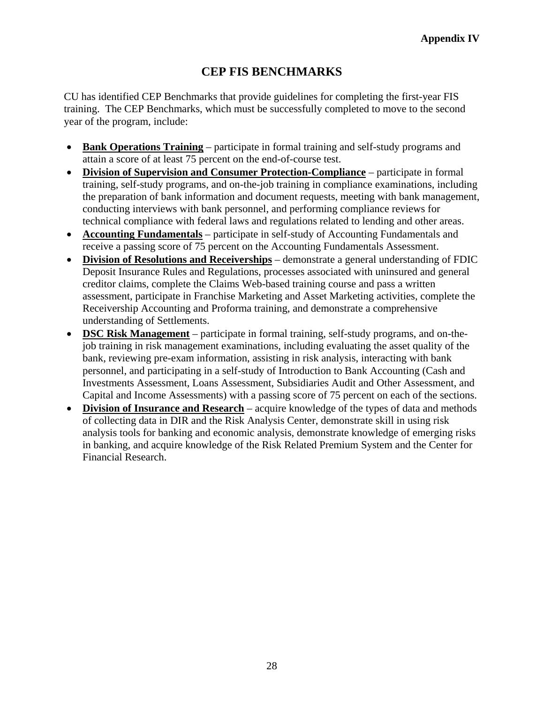# **CEP FIS BENCHMARKS**

CU has identified CEP Benchmarks that provide guidelines for completing the first-year FIS training. The CEP Benchmarks, which must be successfully completed to move to the second year of the program, include:

- **Bank Operations Training** participate in formal training and self-study programs and attain a score of at least 75 percent on the end-of-course test.
- **Division of Supervision and Consumer Protection-Compliance** participate in formal training, self-study programs, and on-the-job training in compliance examinations, including the preparation of bank information and document requests, meeting with bank management, conducting interviews with bank personnel, and performing compliance reviews for technical compliance with federal laws and regulations related to lending and other areas.
- **Accounting Fundamentals** participate in self-study of Accounting Fundamentals and receive a passing score of 75 percent on the Accounting Fundamentals Assessment.
- **Division of Resolutions and Receiverships** demonstrate a general understanding of FDIC Deposit Insurance Rules and Regulations, processes associated with uninsured and general creditor claims, complete the Claims Web-based training course and pass a written assessment, participate in Franchise Marketing and Asset Marketing activities, complete the Receivership Accounting and Proforma training, and demonstrate a comprehensive understanding of Settlements.
- **DSC Risk Management** participate in formal training, self-study programs, and on-thejob training in risk management examinations, including evaluating the asset quality of the bank, reviewing pre-exam information, assisting in risk analysis, interacting with bank personnel, and participating in a self-study of Introduction to Bank Accounting (Cash and Investments Assessment, Loans Assessment, Subsidiaries Audit and Other Assessment, and Capital and Income Assessments) with a passing score of 75 percent on each of the sections.
- **Division of Insurance and Research** acquire knowledge of the types of data and methods of collecting data in DIR and the Risk Analysis Center, demonstrate skill in using risk analysis tools for banking and economic analysis, demonstrate knowledge of emerging risks in banking, and acquire knowledge of the Risk Related Premium System and the Center for Financial Research.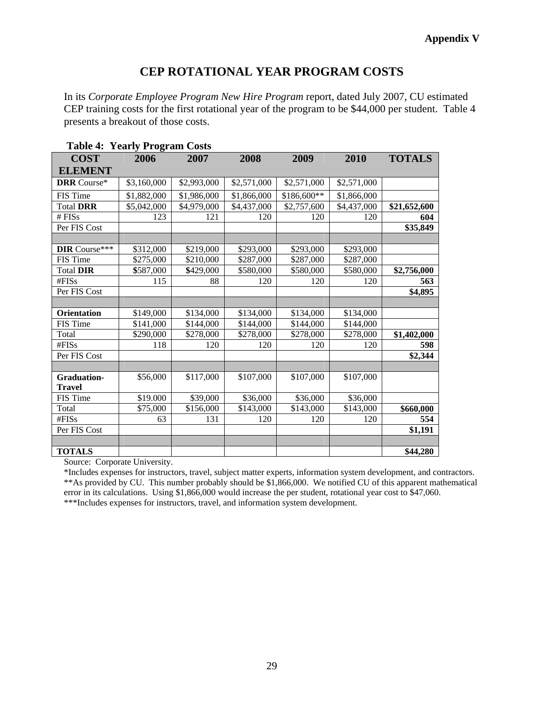## **CEP ROTATIONAL YEAR PROGRAM COSTS**

In its *Corporate Employee Program New Hire Program* report, dated July 2007, CU estimated CEP training costs for the first rotational year of the program to be \$44,000 per student. Table 4 presents a breakout of those costs.

| <b>COST</b>          | 2006        | 2007        | 2008        | 2009        | 2010        | <b>TOTALS</b> |
|----------------------|-------------|-------------|-------------|-------------|-------------|---------------|
| <b>ELEMENT</b>       |             |             |             |             |             |               |
| <b>DRR</b> Course*   | \$3,160,000 | \$2,993,000 | \$2,571,000 | \$2,571,000 | \$2,571,000 |               |
| FIS Time             | \$1,882,000 | \$1,986,000 | \$1,866,000 | \$186,600** | \$1,866,000 |               |
| <b>Total DRR</b>     | \$5,042,000 | \$4,979,000 | \$4,437,000 | \$2,757,600 | \$4,437,000 | \$21,652,600  |
| # $FISs$             | 123         | 121         | 120         | 120         | 120         | 604           |
| Per FIS Cost         |             |             |             |             |             | \$35,849      |
|                      |             |             |             |             |             |               |
| <b>DIR</b> Course*** | \$312,000   | \$219,000   | \$293,000   | \$293,000   | \$293,000   |               |
| FIS Time             | \$275,000   | \$210,000   | \$287,000   | \$287,000   | \$287,000   |               |
| <b>Total DIR</b>     | \$587,000   | \$429,000   | \$580,000   | \$580,000   | \$580,000   | \$2,756,000   |
| #FISs                | 115         | 88          | 120         | 120         | 120         | 563           |
| Per FIS Cost         |             |             |             |             |             | \$4,895       |
|                      |             |             |             |             |             |               |
| <b>Orientation</b>   | \$149,000   | \$134,000   | \$134,000   | \$134,000   | \$134,000   |               |
| FIS Time             | \$141,000   | \$144,000   | \$144,000   | \$144,000   | \$144,000   |               |
| Total                | \$290,000   | \$278,000   | \$278,000   | \$278,000   | \$278,000   | \$1,402,000   |
| #FISs                | 118         | 120         | 120         | 120         | 120         | 598           |
| Per FIS Cost         |             |             |             |             |             | \$2,344       |
|                      |             |             |             |             |             |               |
| <b>Graduation-</b>   | \$56,000    | \$117,000   | \$107,000   | \$107,000   | \$107,000   |               |
| <b>Travel</b>        |             |             |             |             |             |               |
| FIS Time             | \$19.000    | \$39,000    | \$36,000    | \$36,000    | \$36,000    |               |
| Total                | \$75,000    | \$156,000   | \$143,000   | \$143,000   | \$143,000   | \$660,000     |
| #FISs                | 63          | 131         | 120         | 120         | 120         | 554           |
| Per FIS Cost         |             |             |             |             |             | \$1,191       |
|                      |             |             |             |             |             |               |
| <b>TOTALS</b>        |             |             |             |             |             | \$44,280      |

Source: Corporate University.

\*Includes expenses for instructors, travel, subject matter experts, information system development, and contractors. \*\*As provided by CU. This number probably should be \$1,866,000. We notified CU of this apparent mathematical error in its calculations. Using \$1,866,000 would increase the per student, rotational year cost to \$47,060. \*\*\*Includes expenses for instructors, travel, and information system development.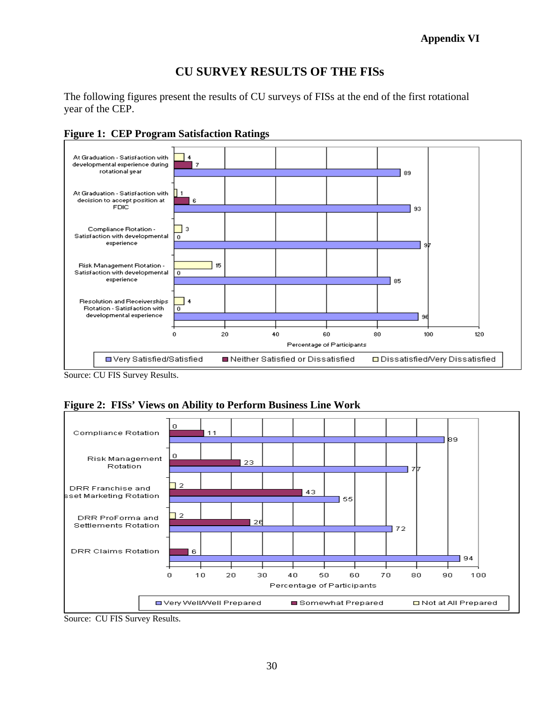## **Appendix VI**

## **CU SURVEY RESULTS OF THE FISs**

The following figures present the results of CU surveys of FISs at the end of the first rotational year of the CEP.



**Figure 1: CEP Program Satisfaction Ratings** 

Source: CU FIS Survey Results.





Source: CU FIS Survey Results.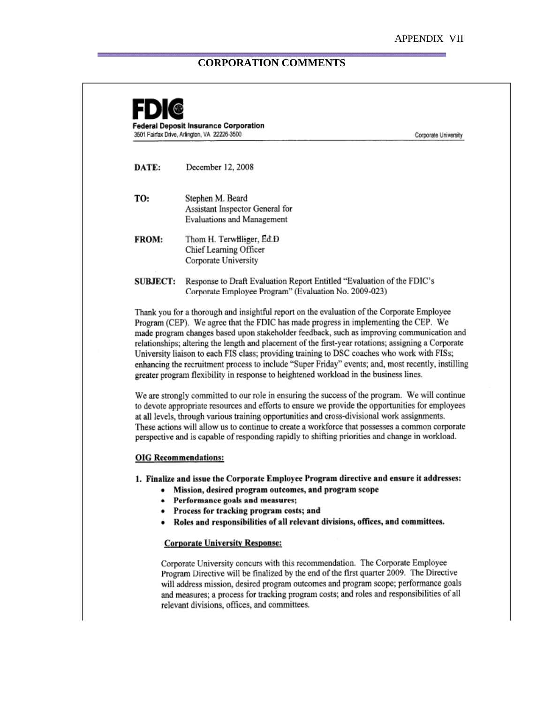### **CORPORATION COMMENTS**



#### **OIG Recommendations:**

1. Finalize and issue the Corporate Employee Program directive and ensure it addresses:

- Mission, desired program outcomes, and program scope
- Performance goals and measures;
- Process for tracking program costs; and
- · Roles and responsibilities of all relevant divisions, offices, and committees.

### **Corporate University Response:**

Corporate University concurs with this recommendation. The Corporate Employee Program Directive will be finalized by the end of the first quarter 2009. The Directive will address mission, desired program outcomes and program scope; performance goals and measures; a process for tracking program costs; and roles and responsibilities of all relevant divisions, offices, and committees.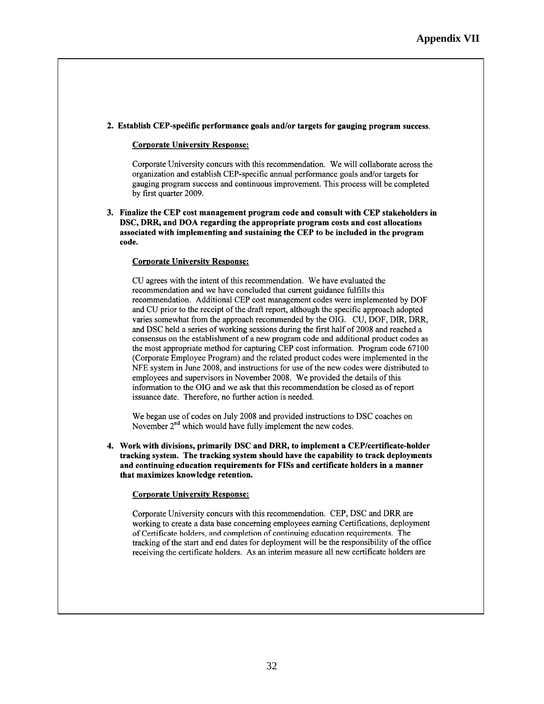#### 2. Establish CEP-specific performance goals and/or targets for gauging program success.

#### **Corporate University Response:**

Corporate University concurs with this recommendation. We will collaborate across the organization and establish CEP-specific annual performance goals and/or targets for gauging program success and continuous improvement. This process will be completed by first quarter 2009.

3. Finalize the CEP cost management program code and consult with CEP stakeholders in DSC, DRR, and DOA regarding the appropriate program costs and cost allocations associated with implementing and sustaining the CEP to be included in the program code.

#### **Corporate University Response:**

CU agrees with the intent of this recommendation. We have evaluated the recommendation and we have concluded that current guidance fulfills this recommendation. Additional CEP cost management codes were implemented by DOF and CU prior to the receipt of the draft report, although the specific approach adopted varies somewhat from the approach recommended by the OIG. CU, DOF, DIR, DRR, and DSC held a series of working sessions during the first half of 2008 and reached a consensus on the establishment of a new program code and additional product codes as the most appropriate method for capturing CEP cost information. Program code 67100 (Corporate Employee Program) and the related product codes were implemented in the NFE system in June 2008, and instructions for use of the new codes were distributed to employees and supervisors in November 2008. We provided the details of this information to the OIG and we ask that this recommendation be closed as of report issuance date. Therefore, no further action is needed.

We began use of codes on July 2008 and provided instructions to DSC coaches on November  $2<sup>nd</sup>$  which would have fully implement the new codes.

4. Work with divisions, primarily DSC and DRR, to implement a CEP/certificate-holder tracking system. The tracking system should have the capability to track deployments and continuing education requirements for FISs and certificate holders in a manner that maximizes knowledge retention.

#### **Corporate University Response:**

Corporate University concurs with this recommendation. CEP, DSC and DRR are working to create a data base concerning employees earning Certifications, deployment of Certificate holders, and completion of continuing education requirements. The tracking of the start and end dates for deployment will be the responsibility of the office receiving the certificate holders. As an interim measure all new certificate holders are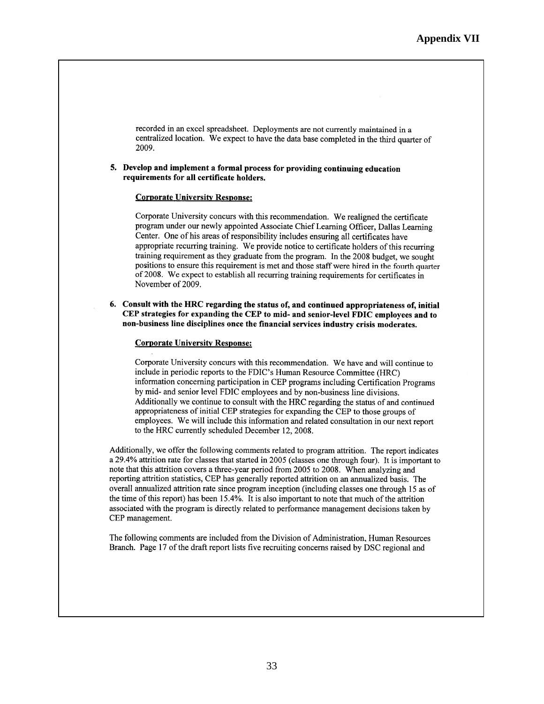recorded in an excel spreadsheet. Deployments are not currently maintained in a centralized location. We expect to have the data base completed in the third quarter of 2009.

### 5. Develop and implement a formal process for providing continuing education requirements for all certificate holders.

#### **Corporate University Response:**

Corporate University concurs with this recommendation. We realigned the certificate program under our newly appointed Associate Chief Learning Officer, Dallas Learning Center. One of his areas of responsibility includes ensuring all certificates have appropriate recurring training. We provide notice to certificate holders of this recurring training requirement as they graduate from the program. In the 2008 budget, we sought positions to ensure this requirement is met and those staff were hired in the fourth quarter of 2008. We expect to establish all recurring training requirements for certificates in November of 2009.

6. Consult with the HRC regarding the status of, and continued appropriateness of, initial CEP strategies for expanding the CEP to mid- and senior-level FDIC employees and to non-business line disciplines once the financial services industry crisis moderates.

#### **Corporate University Response:**

Corporate University concurs with this recommendation. We have and will continue to include in periodic reports to the FDIC's Human Resource Committee (HRC) information concerning participation in CEP programs including Certification Programs by mid- and senior level FDIC employees and by non-business line divisions. Additionally we continue to consult with the HRC regarding the status of and continued appropriateness of initial CEP strategies for expanding the CEP to those groups of employees. We will include this information and related consultation in our next report to the HRC currently scheduled December 12, 2008.

Additionally, we offer the following comments related to program attrition. The report indicates a 29.4% attrition rate for classes that started in 2005 (classes one through four). It is important to note that this attrition covers a three-year period from 2005 to 2008. When analyzing and reporting attrition statistics, CEP has generally reported attrition on an annualized basis. The overall annualized attrition rate since program inception (including classes one through 15 as of the time of this report) has been 15.4%. It is also important to note that much of the attrition associated with the program is directly related to performance management decisions taken by CEP management.

The following comments are included from the Division of Administration. Human Resources Branch. Page 17 of the draft report lists five recruiting concerns raised by DSC regional and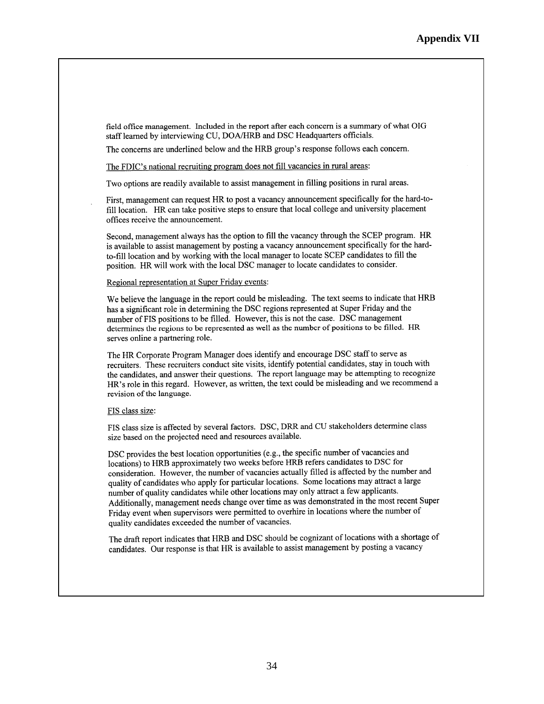field office management. Included in the report after each concern is a summary of what OIG staff learned by interviewing CU, DOA/HRB and DSC Headquarters officials.

The concerns are underlined below and the HRB group's response follows each concern.

The FDIC's national recruiting program does not fill vacancies in rural areas:

Two options are readily available to assist management in filling positions in rural areas.

First, management can request HR to post a vacancy announcement specifically for the hard-tofill location. HR can take positive steps to ensure that local college and university placement offices receive the announcement.

Second, management always has the option to fill the vacancy through the SCEP program. HR is available to assist management by posting a vacancy announcement specifically for the hardto-fill location and by working with the local manager to locate SCEP candidates to fill the position. HR will work with the local DSC manager to locate candidates to consider.

Regional representation at Super Friday events:

We believe the language in the report could be misleading. The text seems to indicate that HRB has a significant role in determining the DSC regions represented at Super Friday and the number of FIS positions to be filled. However, this is not the case. DSC management determines the regions to be represented as well as the number of positions to be filled. HR serves online a partnering role.

The HR Corporate Program Manager does identify and encourage DSC staff to serve as recruiters. These recruiters conduct site visits, identify potential candidates, stay in touch with the candidates, and answer their questions. The report language may be attempting to recognize HR's role in this regard. However, as written, the text could be misleading and we recommend a revision of the language.

#### FIS class size:

FIS class size is affected by several factors. DSC, DRR and CU stakeholders determine class size based on the projected need and resources available.

DSC provides the best location opportunities (e.g., the specific number of vacancies and locations) to HRB approximately two weeks before HRB refers candidates to DSC for consideration. However, the number of vacancies actually filled is affected by the number and quality of candidates who apply for particular locations. Some locations may attract a large number of quality candidates while other locations may only attract a few applicants. Additionally, management needs change over time as was demonstrated in the most recent Super Friday event when supervisors were permitted to overhire in locations where the number of quality candidates exceeded the number of vacancies.

The draft report indicates that HRB and DSC should be cognizant of locations with a shortage of candidates. Our response is that HR is available to assist management by posting a vacancy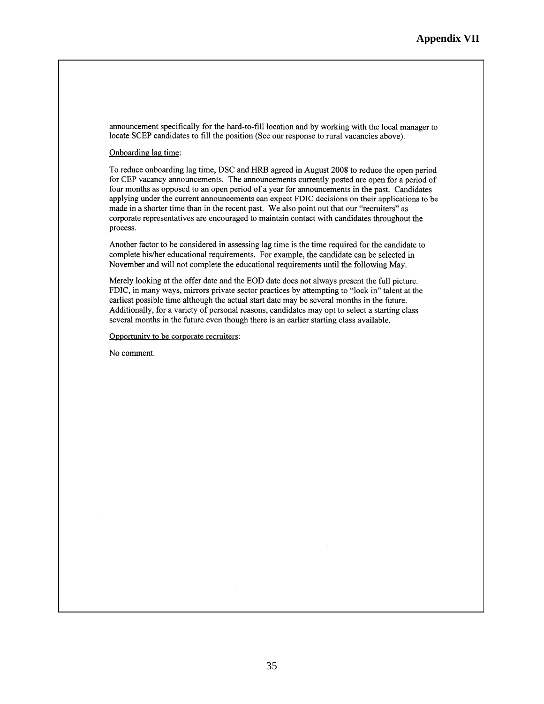announcement specifically for the hard-to-fill location and by working with the local manager to locate SCEP candidates to fill the position (See our response to rural vacancies above).

### Onboarding lag time:

To reduce onboarding lag time, DSC and HRB agreed in August 2008 to reduce the open period for CEP vacancy announcements. The announcements currently posted are open for a period of four months as opposed to an open period of a year for announcements in the past. Candidates applying under the current announcements can expect FDIC decisions on their applications to be made in a shorter time than in the recent past. We also point out that our "recruiters" as corporate representatives are encouraged to maintain contact with candidates throughout the process.

Another factor to be considered in assessing lag time is the time required for the candidate to complete his/her educational requirements. For example, the candidate can be selected in November and will not complete the educational requirements until the following May.

Merely looking at the offer date and the EOD date does not always present the full picture. FDIC, in many ways, mirrors private sector practices by attempting to "lock in" talent at the earliest possible time although the actual start date may be several months in the future. Additionally, for a variety of personal reasons, candidates may opt to select a starting class several months in the future even though there is an earlier starting class available.

Opportunity to be corporate recruiters:

No comment.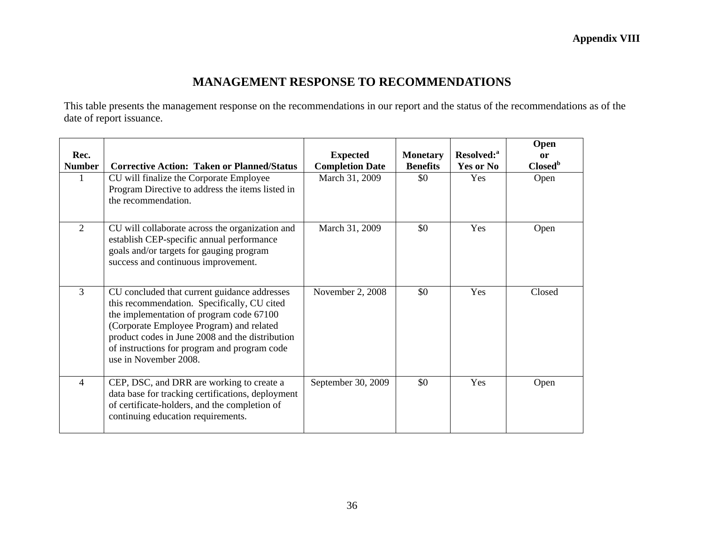# **MANAGEMENT RESPONSE TO RECOMMENDATIONS**

This table presents the management response on the recommendations in our report and the status of the recommendations as of the date of report issuance.

| Rec.<br><b>Number</b> | <b>Corrective Action: Taken or Planned/Status</b><br>CU will finalize the Corporate Employee<br>Program Directive to address the items listed in<br>the recommendation.                                                                                                                                         | <b>Expected</b><br><b>Completion Date</b><br>March 31, 2009 | <b>Monetary</b><br><b>Benefits</b><br>\$0 | Resolved: <sup>a</sup><br>Yes or No<br>Yes | Open<br><sub>or</sub><br>Closed <sup>b</sup><br>Open |
|-----------------------|-----------------------------------------------------------------------------------------------------------------------------------------------------------------------------------------------------------------------------------------------------------------------------------------------------------------|-------------------------------------------------------------|-------------------------------------------|--------------------------------------------|------------------------------------------------------|
| $\overline{2}$        | CU will collaborate across the organization and<br>establish CEP-specific annual performance<br>goals and/or targets for gauging program<br>success and continuous improvement.                                                                                                                                 | March 31, 2009                                              | \$0                                       | Yes                                        | Open                                                 |
| $\overline{3}$        | CU concluded that current guidance addresses<br>this recommendation. Specifically, CU cited<br>the implementation of program code 67100<br>(Corporate Employee Program) and related<br>product codes in June 2008 and the distribution<br>of instructions for program and program code<br>use in November 2008. | November 2, 2008                                            | \$0                                       | Yes                                        | Closed                                               |
| $\overline{4}$        | CEP, DSC, and DRR are working to create a<br>data base for tracking certifications, deployment<br>of certificate-holders, and the completion of<br>continuing education requirements.                                                                                                                           | September 30, 2009                                          | \$0                                       | Yes                                        | Open                                                 |